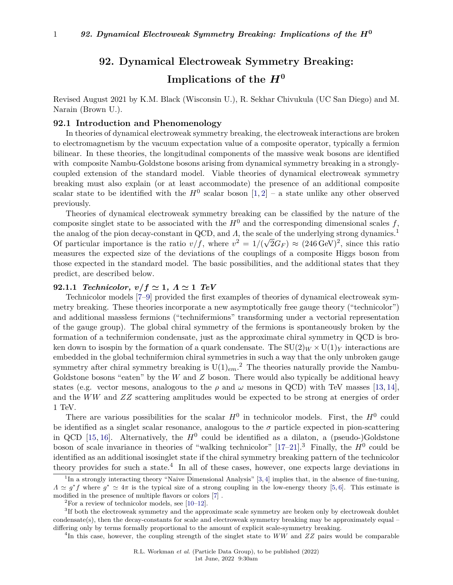# **92. Dynamical Electroweak Symmetry Breaking: Implications of the** *H***<sup>0</sup>**

Revised August 2021 by K.M. Black (Wisconsin U.), R. Sekhar Chivukula (UC San Diego) and M. Narain (Brown U.).

### **92.1 Introduction and Phenomenology**

In theories of dynamical electroweak symmetry breaking, the electroweak interactions are broken to electromagnetism by the vacuum expectation value of a composite operator, typically a fermion bilinear. In these theories, the longitudinal components of the massive weak bosons are identified with composite Nambu-Goldstone bosons arising from dynamical symmetry breaking in a stronglycoupled extension of the standard model. Viable theories of dynamical electroweak symmetry breaking must also explain (or at least accommodate) the presence of an additional composite scalar state to be identified with the  $H^0$  scalar boson  $[1, 2]$  $[1, 2]$  $[1, 2]$  – a state unlike any other observed previously.

Theories of dynamical electroweak symmetry breaking can be classified by the nature of the composite singlet state to be associated with the  $H^0$  and the corresponding dimensional scales  $f$ , the analog of the pion decay-constant in QCD, and *Λ*, the scale of the underlying strong dynamics.<sup>[1](#page-0-0)</sup> Of particular importance is the ratio  $v/f$ , where  $v^2 = 1/(\sqrt{2}G_F) \approx (246 \,\text{GeV})^2$ , since this ratio measures the expected size of the deviations of the couplings of a composite Higgs boson from those expected in the standard model. The basic possibilities, and the additional states that they predict, are described below.

### **92.1.1** *Technicolor,*  $v/f \simeq 1$ ,  $\Lambda \simeq 1$  *TeV*

Technicolor models [\[7](#page-23-2)[–9\]](#page-23-3) provided the first examples of theories of dynamical electroweak symmetry breaking. These theories incorporate a new asymptotically free gauge theory ("technicolor") and additional massless fermions ("technifermions" transforming under a vectorial representation of the gauge group). The global chiral symmetry of the fermions is spontaneously broken by the formation of a technifermion condensate, just as the approximate chiral symmetry in QCD is broken down to isospin by the formation of a quark condensate. The  $SU(2)_W \times U(1)_Y$  interactions are embedded in the global technifermion chiral symmetries in such a way that the only unbroken gauge symmetry after chiral symmetry breaking is  $U(1)_{em}$ <sup>[2](#page-0-1)</sup>. The theories naturally provide the Nambu-Goldstone bosons "eaten" by the *W* and *Z* boson. There would also typically be additional heavy states (e.g. vector mesons, analogous to the  $\rho$  and  $\omega$  mesons in QCD) with TeV masses [\[13,](#page-23-4) [14\]](#page-23-5), and the *WW* and *ZZ* scattering amplitudes would be expected to be strong at energies of order 1 TeV.

There are various possibilities for the scalar  $H^0$  in technicolor models. First, the  $H^0$  could be identified as a singlet scalar resonance, analogous to the  $\sigma$  particle expected in pion-scattering in QCD [\[15,](#page-23-6) [16\]](#page-23-7). Alternatively, the  $H^0$  could be identified as a dilaton, a (pseudo-)Goldstone boson of scale invariance in theories of "walking technicolor"  $[17-21]$  $[17-21]$ <sup>[3](#page-0-2)</sup>. Finally, the  $H^0$  could be identified as an additional isosinglet state if the chiral symmetry breaking pattern of the technicolor theory provides for such a state.<sup>[4](#page-0-3)</sup> In all of these cases, however, one expects large deviations in

<span id="page-0-3"></span>4 In this case, however, the coupling strength of the singlet state to *WW* and *ZZ* pairs would be comparable

<span id="page-0-0"></span><sup>&</sup>lt;sup>1</sup>In a strongly interacting theory "Naive Dimensional Analysis" [\[3,](#page-23-10) [4\]](#page-23-11) implies that, in the absence of fine-tuning,  $\Lambda \simeq g^* f$  where  $g^* \simeq 4\pi$  is the typical size of a strong coupling in the low-energy theory [\[5,](#page-23-12) [6\]](#page-23-13). This estimate is modified in the presence of multiple flavors or colors [\[7\]](#page-23-2) .

<span id="page-0-2"></span><span id="page-0-1"></span> ${}^{2}$ For a review of technicolor models, see [\[10–](#page-23-14)[12\]](#page-23-15).

<sup>&</sup>lt;sup>3</sup>If both the electroweak symmetry and the approximate scale symmetry are broken only by electroweak doublet condensate(s), then the decay-constants for scale and electroweak symmetry breaking may be approximately equal – differing only by terms formally proportional to the amount of explicit scale-symmetry breaking.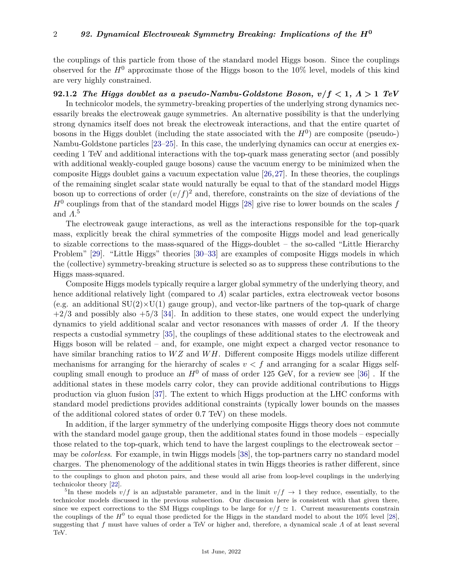the couplings of this particle from those of the standard model Higgs boson. Since the couplings observed for the  $H^0$  approximate those of the Higgs boson to the 10% level, models of this kind are very highly constrained.

### **92.1.2** *The Higgs doublet as a pseudo-Nambu-Goldstone Boson, v/f <* **1***, Λ >* **1** *TeV*

In technicolor models, the symmetry-breaking properties of the underlying strong dynamics necessarily breaks the electroweak gauge symmetries. An alternative possibility is that the underlying strong dynamics itself does not break the electroweak interactions, and that the entire quartet of bosons in the Higgs doublet (including the state associated with the  $H<sup>0</sup>$ ) are composite (pseudo-) Nambu-Goldstone particles [\[23–](#page-23-16)[25\]](#page-23-17). In this case, the underlying dynamics can occur at energies exceeding 1 TeV and additional interactions with the top-quark mass generating sector (and possibly with additional weakly-coupled gauge bosons) cause the vacuum energy to be minimized when the composite Higgs doublet gains a vacuum expectation value [\[26,](#page-23-18)[27\]](#page-23-19). In these theories, the couplings of the remaining singlet scalar state would naturally be equal to that of the standard model Higgs boson up to corrections of order  $(v/f)^2$  and, therefore, constraints on the size of deviations of the  $H^0$  couplings from that of the standard model Higgs [\[28\]](#page-23-20) give rise to lower bounds on the scales  $f$ and *Λ*. [5](#page-1-0)

The electroweak gauge interactions, as well as the interactions responsible for the top-quark mass, explicitly break the chiral symmetries of the composite Higgs model and lead generically to sizable corrections to the mass-squared of the Higgs-doublet – the so-called "Little Hierarchy Problem" [\[29\]](#page-23-21). "Little Higgs" theories [\[30](#page-23-22)[–33\]](#page-24-0) are examples of composite Higgs models in which the (collective) symmetry-breaking structure is selected so as to suppress these contributions to the Higgs mass-squared.

Composite Higgs models typically require a larger global symmetry of the underlying theory, and hence additional relatively light (compared to *Λ*) scalar particles, extra electroweak vector bosons (e.g. an additional  $SU(2) \times U(1)$  gauge group), and vector-like partners of the top-quark of charge  $+2/3$  and possibly also  $+5/3$  [\[34\]](#page-24-1). In addition to these states, one would expect the underlying dynamics to yield additional scalar and vector resonances with masses of order *Λ*. If the theory respects a custodial symmetry [\[35\]](#page-24-2), the couplings of these additional states to the electroweak and Higgs boson will be related – and, for example, one might expect a charged vector resonance to have similar branching ratios to *W Z* and *W H*. Different composite Higgs models utilize different mechanisms for arranging for the hierarchy of scales  $v < f$  and arranging for a scalar Higgs selfcoupling small enough to produce an  $H^0$  of mass of order 125 GeV, for a review see [\[36\]](#page-24-3). If the additional states in these models carry color, they can provide additional contributions to Higgs production via gluon fusion [\[37\]](#page-24-4). The extent to which Higgs production at the LHC conforms with standard model predictions provides additional constraints (typically lower bounds on the masses of the additional colored states of order 0.7 TeV) on these models.

In addition, if the larger symmetry of the underlying composite Higgs theory does not commute with the standard model gauge group, then the additional states found in those models – especially those related to the top-quark, which tend to have the largest couplings to the electroweak sector – may be *colorless*. For example, in twin Higgs models [\[38\]](#page-24-5), the top-partners carry no standard model charges. The phenomenology of the additional states in twin Higgs theories is rather different, since

to the couplings to gluon and photon pairs, and these would all arise from loop-level couplings in the underlying technicolor theory [\[22\]](#page-23-23).

<span id="page-1-0"></span><sup>&</sup>lt;sup>5</sup>In these models  $v/f$  is an adjustable parameter, and in the limit  $v/f \to 1$  they reduce, essentially, to the technicolor models discussed in the previous subsection. Our discussion here is consistent with that given there, since we expect corrections to the SM Higgs couplings to be large for  $v/f \simeq 1$ . Current measurements constrain the couplings of the  $H^0$  to equal those predicted for the Higgs in the standard model to about the 10% level [\[28\]](#page-23-20), suggesting that *f* must have values of order a TeV or higher and, therefore, a dynamical scale *Λ* of at least several TeV.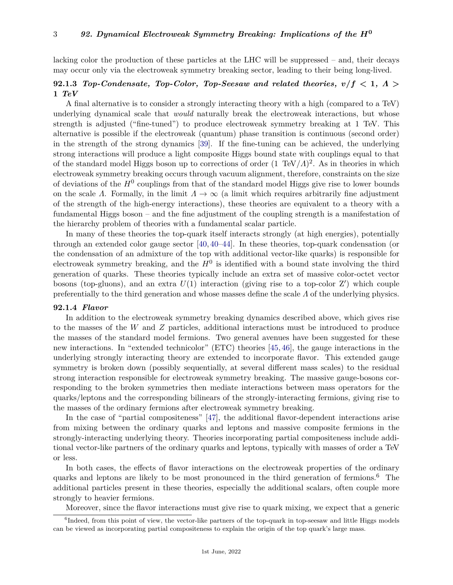lacking color the production of these particles at the LHC will be suppressed – and, their decays may occur only via the electroweak symmetry breaking sector, leading to their being long-lived.

## **92.1.3** *Top-Condensate, Top-Color, Top-Seesaw and related theories, v/f <* **1***, Λ >* **1** *TeV*

A final alternative is to consider a strongly interacting theory with a high (compared to a TeV) underlying dynamical scale that *would* naturally break the electroweak interactions, but whose strength is adjusted ("fine-tuned") to produce electroweak symmetry breaking at 1 TeV. This alternative is possible if the electroweak (quantum) phase transition is continuous (second order) in the strength of the strong dynamics [\[39\]](#page-24-6). If the fine-tuning can be achieved, the underlying strong interactions will produce a light composite Higgs bound state with couplings equal to that of the standard model Higgs boson up to corrections of order (1 TeV*/Λ*) 2 . As in theories in which electroweak symmetry breaking occurs through vacuum alignment, therefore, constraints on the size of deviations of the  $H^0$  couplings from that of the standard model Higgs give rise to lower bounds on the scale *Λ*. Formally, in the limit  $\Lambda \to \infty$  (a limit which requires arbitrarily fine adjustment of the strength of the high-energy interactions), these theories are equivalent to a theory with a fundamental Higgs boson – and the fine adjustment of the coupling strength is a manifestation of the hierarchy problem of theories with a fundamental scalar particle.

In many of these theories the top-quark itself interacts strongly (at high energies), potentially through an extended color gauge sector [\[40,](#page-24-7) [40–](#page-24-7)[44\]](#page-24-8). In these theories, top-quark condensation (or the condensation of an admixture of the top with additional vector-like quarks) is responsible for electroweak symmetry breaking, and the  $H^0$  is identified with a bound state involving the third generation of quarks. These theories typically include an extra set of massive color-octet vector bosons (top-gluons), and an extra  $U(1)$  interaction (giving rise to a top-color  $Z'$ ) which couple preferentially to the third generation and whose masses define the scale *Λ* of the underlying physics.

### **92.1.4** *Flavor*

In addition to the electroweak symmetry breaking dynamics described above, which gives rise to the masses of the *W* and *Z* particles, additional interactions must be introduced to produce the masses of the standard model fermions. Two general avenues have been suggested for these new interactions. In "extended technicolor" (ETC) theories [\[45,](#page-24-9) [46\]](#page-24-10), the gauge interactions in the underlying strongly interacting theory are extended to incorporate flavor. This extended gauge symmetry is broken down (possibly sequentially, at several different mass scales) to the residual strong interaction responsible for electroweak symmetry breaking. The massive gauge-bosons corresponding to the broken symmetries then mediate interactions between mass operators for the quarks/leptons and the corresponding bilinears of the strongly-interacting fermions, giving rise to the masses of the ordinary fermions after electroweak symmetry breaking.

In the case of "partial compositeness" [\[47\]](#page-24-11), the additional flavor-dependent interactions arise from mixing between the ordinary quarks and leptons and massive composite fermions in the strongly-interacting underlying theory. Theories incorporating partial compositeness include additional vector-like partners of the ordinary quarks and leptons, typically with masses of order a TeV or less.

In both cases, the effects of flavor interactions on the electroweak properties of the ordinary quarks and leptons are likely to be most pronounced in the third generation of fermions.[6](#page-2-0) The additional particles present in these theories, especially the additional scalars, often couple more strongly to heavier fermions.

<span id="page-2-0"></span>Moreover, since the flavor interactions must give rise to quark mixing, we expect that a generic

<sup>&</sup>lt;sup>6</sup>Indeed, from this point of view, the vector-like partners of the top-quark in top-seesaw and little Higgs models can be viewed as incorporating partial compositeness to explain the origin of the top quark's large mass.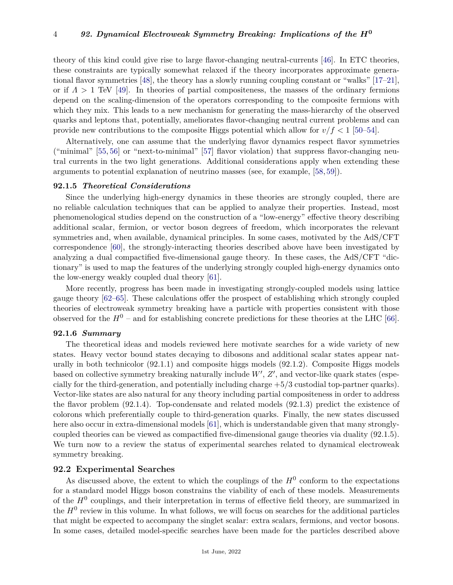theory of this kind could give rise to large flavor-changing neutral-currents [\[46\]](#page-24-10). In ETC theories, these constraints are typically somewhat relaxed if the theory incorporates approximate generational flavor symmetries [\[48\]](#page-24-12), the theory has a slowly running coupling constant or "walks" [\[17–](#page-23-8)[21\]](#page-23-9), or if  $\Lambda > 1$  TeV [\[49\]](#page-24-13). In theories of partial compositeness, the masses of the ordinary fermions depend on the scaling-dimension of the operators corresponding to the composite fermions with which they mix. This leads to a new mechanism for generating the mass-hierarchy of the observed quarks and leptons that, potentially, ameliorates flavor-changing neutral current problems and can provide new contributions to the composite Higgs potential which allow for  $v/f < 1$  [\[50–](#page-24-14)[54\]](#page-24-15).

Alternatively, one can assume that the underlying flavor dynamics respect flavor symmetries ("minimal" [\[55,](#page-24-16) [56\]](#page-24-17) or "next-to-minimal" [\[57\]](#page-24-18) flavor violation) that suppress flavor-changing neutral currents in the two light generations. Additional considerations apply when extending these arguments to potential explanation of neutrino masses (see, for example, [\[58,](#page-24-19) [59\]](#page-24-20)).

### **92.1.5** *Theoretical Considerations*

Since the underlying high-energy dynamics in these theories are strongly coupled, there are no reliable calculation techniques that can be applied to analyze their properties. Instead, most phenomenological studies depend on the construction of a "low-energy" effective theory describing additional scalar, fermion, or vector boson degrees of freedom, which incorporates the relevant symmetries and, when available, dynamical principles. In some cases, motivated by the AdS/CFT correspondence [\[60\]](#page-24-21), the strongly-interacting theories described above have been investigated by analyzing a dual compactified five-dimensional gauge theory. In these cases, the AdS/CFT "dictionary" is used to map the features of the underlying strongly coupled high-energy dynamics onto the low-energy weakly coupled dual theory [\[61\]](#page-24-22).

More recently, progress has been made in investigating strongly-coupled models using lattice gauge theory [\[62](#page-24-23)[–65\]](#page-24-24). These calculations offer the prospect of establishing which strongly coupled theories of electroweak symmetry breaking have a particle with properties consistent with those observed for the  $H^0$  – and for establishing concrete predictions for these theories at the LHC [\[66\]](#page-24-25).

### **92.1.6** *Summary*

The theoretical ideas and models reviewed here motivate searches for a wide variety of new states. Heavy vector bound states decaying to dibosons and additional scalar states appear naturally in both technicolor (92.1.1) and composite higgs models (92.1.2). Composite Higgs models based on collective symmetry breaking naturally include  $W'$ ,  $Z'$ , and vector-like quark states (especially for the third-generation, and potentially including charge +5/3 custodial top-partner quarks). Vector-like states are also natural for any theory including partial compositeness in order to address the flavor problem (92.1.4). Top-condensate and related models (92.1.3) predict the existence of colorons which preferentially couple to third-generation quarks. Finally, the new states discussed here also occur in extra-dimensional models [\[61\]](#page-24-22), which is understandable given that many stronglycoupled theories can be viewed as compactified five-dimensional gauge theories via duality (92.1.5). We turn now to a review the status of experimental searches related to dynamical electroweak symmetry breaking.

### **92.2 Experimental Searches**

As discussed above, the extent to which the couplings of the  $H^0$  conform to the expectations for a standard model Higgs boson constrains the viability of each of these models. Measurements of the  $H^0$  couplings, and their interpretation in terms of effective field theory, are summarized in the  $H^0$  review in this volume. In what follows, we will focus on searches for the additional particles that might be expected to accompany the singlet scalar: extra scalars, fermions, and vector bosons. In some cases, detailed model-specific searches have been made for the particles described above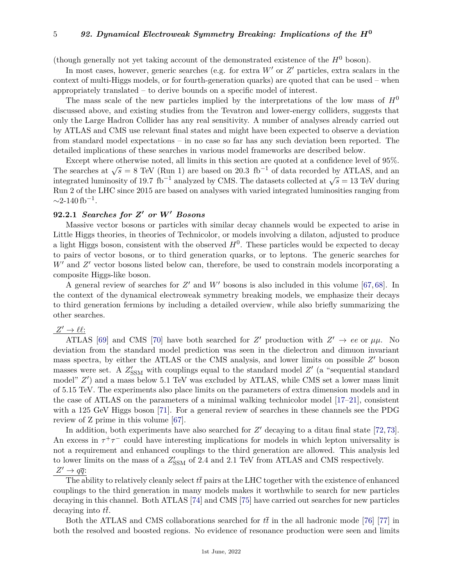(though generally not yet taking account of the demonstrated existence of the  $H^0$  boson).

In most cases, however, generic searches (e.g. for extra  $W'$  or  $Z'$  particles, extra scalars in the context of multi-Higgs models, or for fourth-generation quarks) are quoted that can be used – when appropriately translated – to derive bounds on a specific model of interest.

The mass scale of the new particles implied by the interpretations of the low mass of *H*<sup>0</sup> discussed above, and existing studies from the Tevatron and lower-energy colliders, suggests that only the Large Hadron Collider has any real sensitivity. A number of analyses already carried out by ATLAS and CMS use relevant final states and might have been expected to observe a deviation from standard model expectations – in no case so far has any such deviation been reported. The detailed implications of these searches in various model frameworks are described below.

Except where otherwise noted, all limits in this section are quoted at a confidence level of 95%. Except where otherwise hoted, an initia in this section are quoted at a connuence never or  $33\%$ .<br>The searches at  $\sqrt{s} = 8$  TeV (Run 1) are based on 20.3 fb<sup>-1</sup> of data recorded by ATLAS, and an integrated luminosity of 19.7 fb<sup>-1</sup> analyzed by CMS. The datasets collected at  $\sqrt{s} = 13$  TeV during integrated luminosity of 19.7 fb<sup>-1</sup> analyzed by CMS. The datasets collected at  $\sqrt{s} = 13$  TeV during Run 2 of the LHC since 2015 are based on analyses with varied integrated luminosities ranging from  $\sim$ 2-140 fb<sup>-1</sup>.

### **92.2.1** *Searches for Z***<sup>0</sup>** *or W***<sup>0</sup>** *Bosons*

Massive vector bosons or particles with similar decay channels would be expected to arise in Little Higgs theories, in theories of Technicolor, or models involving a dilaton, adjusted to produce a light Higgs boson, consistent with the observed  $H^0$ . These particles would be expected to decay to pairs of vector bosons, or to third generation quarks, or to leptons. The generic searches for  $W'$  and  $Z'$  vector bosons listed below can, therefore, be used to constrain models incorporating a composite Higgs-like boson.

A general review of searches for  $Z'$  and  $W'$  bosons is also included in this volume [\[67,](#page-24-26) [68\]](#page-25-0). In the context of the dynamical electroweak symmetry breaking models, we emphasize their decays to third generation fermions by including a detailed overview, while also briefly summarizing the other searches.

# $Z' \to \ell \ell$ :

ATLAS [\[69\]](#page-25-1) and CMS [\[70\]](#page-25-2) have both searched for *Z'* production with  $Z' \rightarrow ee$  or  $\mu\mu$ . No deviation from the standard model prediction was seen in the dielectron and dimuon invariant mass spectra, by either the ATLAS or the CMS analysis, and lower limits on possible  $Z'$  boson masses were set. A  $Z'_{\text{SSM}}$  with couplings equal to the standard model  $Z'$  (a "sequential standard model"  $Z'$ ) and a mass below 5.1 TeV was excluded by ATLAS, while CMS set a lower mass limit of 5.15 TeV. The experiments also place limits on the parameters of extra dimension models and in the case of ATLAS on the parameters of a minimal walking technicolor model [\[17–](#page-23-8)[21\]](#page-23-9), consistent with a 125 GeV Higgs boson [\[71\]](#page-25-3). For a general review of searches in these channels see the PDG review of Z prime in this volume [\[67\]](#page-24-26).

In addition, both experiments have also searched for  $Z'$  decaying to a ditau final state [\[72,](#page-25-4) [73\]](#page-25-5). An excess in  $\tau^+\tau^-$  could have interesting implications for models in which lepton universality is not a requirement and enhanced couplings to the third generation are allowed. This analysis led to lower limits on the mass of a  $Z'_{\rm SSM}$  of 2.4 and 2.1 TeV from ATLAS and CMS respectively.  $Z' \rightarrow q\overline{q}$ 

The ability to relatively cleanly select  $t\bar{t}$  pairs at the LHC together with the existence of enhanced couplings to the third generation in many models makes it worthwhile to search for new particles decaying in this channel. Both ATLAS [\[74\]](#page-25-6) and CMS [\[75\]](#page-25-7) have carried out searches for new particles decaying into  $t\bar{t}$ .

Both the ATLAS and CMS collaborations searched for  $t\bar{t}$  in the all hadronic mode [\[76\]](#page-25-8) [\[77\]](#page-25-9) in both the resolved and boosted regions. No evidence of resonance production were seen and limits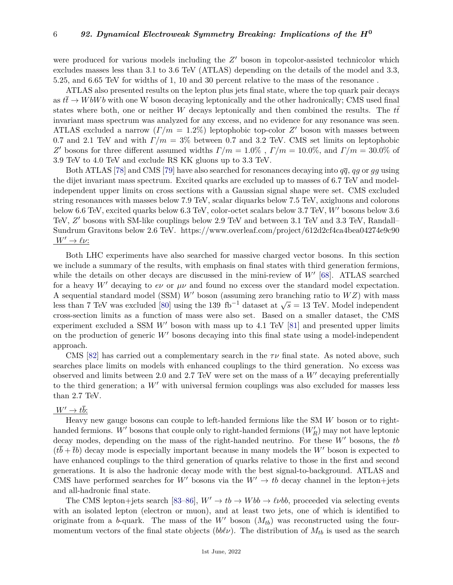were produced for various models including the  $Z'$  boson in topcolor-assisted technicolor which excludes masses less than 3.1 to 3.6 TeV (ATLAS) depending on the details of the model and 3.3, 5.25, and 6.65 TeV for widths of 1, 10 and 30 percent relative to the mass of the resonance .

ATLAS also presented results on the lepton plus jets final state, where the top quark pair decays as  $t\bar{t} \to W bW b$  with one W boson decaying leptonically and the other hadronically; CMS used final states where both, one or neither *W* decays leptonically and then combined the results. The  $t\bar{t}$ invariant mass spectrum was analyzed for any excess, and no evidence for any resonance was seen. ATLAS excluded a narrow  $(\Gamma/m = 1.2\%)$  leptophobic top-color Z' boson with masses between 0.7 and 2.1 TeV and with  $\Gamma/m = 3\%$  between 0.7 and 3.2 TeV. CMS set limits on leptophobic *Z*<sup>*'*</sup> bosons for three different assumed widths  $Γ/m = 1.0\%$ ,  $Γ/m = 10.0\%$ , and  $Γ/m = 30.0\%$  of 3.9 TeV to 4.0 TeV and exclude RS KK gluons up to 3.3 TeV.

Both ATLAS [\[78\]](#page-25-10) and CMS [\[79\]](#page-25-11) have also searched for resonances decaying into  $q\bar{q}$ ,  $qg$  or  $gg$  using the dijet invariant mass spectrum. Excited quarks are excluded up to masses of 6.7 TeV and modelindependent upper limits on cross sections with a Gaussian signal shape were set. CMS excluded string resonances with masses below 7.9 TeV, scalar diquarks below 7.5 TeV, axigluons and colorons below 6.6 TeV, excited quarks below 6.3 TeV, color-octet scalars below 3.7 TeV, *W'* bosons below 3.6 TeV, Z' bosons with SM-like couplings below 2.9 TeV and between 3.1 TeV and 3.3 TeV, Randall– Sundrum Gravitons below 2.6 TeV. https://www.overleaf.com/project/612d2cf4ca4bea04274e9c90  $W' \to \ell \nu$ :

Both LHC experiments have also searched for massive charged vector bosons. In this section we include a summary of the results, with emphasis on final states with third generation fermions, while the details on other decays are discussed in the mini-review of  $W'$  [\[68\]](#page-25-0). ATLAS searched for a heavy W' decaying to  $e\nu$  or  $\mu\nu$  and found no excess over the standard model expectation. A sequential standard model (SSM)  $W'$  boson (assuming zero branching ratio to  $WZ$ ) with mass A sequential standard model (SSM) W boson (assuming zero branching ratio to W2) with mass<br>less than 7 TeV was excluded [\[80\]](#page-25-12) using the 139 fb<sup>-1</sup> dataset at  $\sqrt{s} = 13$  TeV. Model independent cross-section limits as a function of mass were also set. Based on a smaller dataset, the CMS experiment excluded a SSM  $W'$  boson with mass up to 4.1 TeV  $[81]$  and presented upper limits on the production of generic  $W'$  bosons decaying into this final state using a model-independent approach.

CMS [\[82\]](#page-25-14) has carried out a complementary search in the  $\tau\nu$  final state. As noted above, such searches place limits on models with enhanced couplings to the third generation. No excess was observed and limits between 2.0 and 2.7 TeV were set on the mass of a  $W'$  decaying preferentially to the third generation; a  $W'$  with universal fermion couplings was also excluded for masses less than 2.7 TeV.

# $W' \rightarrow t\overline{b}$ :

Heavy new gauge bosons can couple to left-handed fermions like the SM *W* boson or to righthanded fermions. *W'* bosons that couple only to right-handed fermions  $(W'_R)$  may not have leptonic decay modes, depending on the mass of the right-handed neutrino. For these  $W'$  bosons, the  $tb$  $(t\bar{b} + \bar{t}b)$  decay mode is especially important because in many models the W' boson is expected to have enhanced couplings to the third generation of quarks relative to those in the first and second generations. It is also the hadronic decay mode with the best signal-to-background. ATLAS and CMS have performed searches for W<sup>o</sup> bosons via the  $W' \rightarrow tb$  decay channel in the lepton+jets and all-hadronic final state.

The CMS lepton+jets search [\[83](#page-25-15)[–86\]](#page-25-16),  $W' \rightarrow tb \rightarrow Wbb \rightarrow \ell \nu bb$ , proceeded via selecting events with an isolated lepton (electron or muon), and at least two jets, one of which is identified to originate from a *b*-quark. The mass of the  $W'$  boson  $(M_{tb})$  was reconstructed using the fourmomentum vectors of the final state objects ( $bb\ell\nu$ ). The distribution of  $M_{tb}$  is used as the search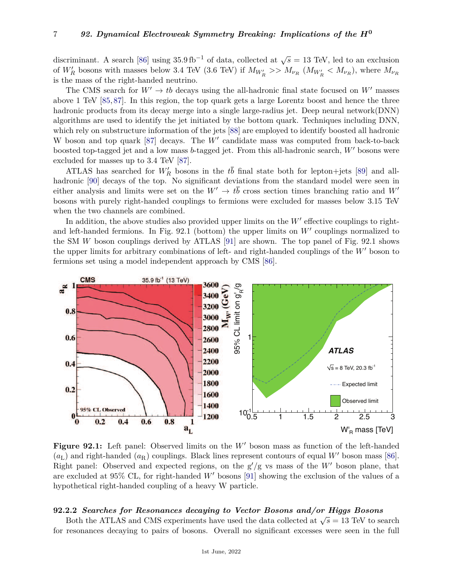discriminant. A search [\[86\]](#page-25-16) using  $35.9 \text{ fb}^{-1}$  of data, collected at  $\sqrt{s} = 13 \text{ TeV}$ , led to an exclusion of  $W_R'$  bosons with masses below 3.4 TeV (3.6 TeV) if  $M_{W_R'} >> M_{\nu_R}$  ( $M_{W_R'} < M_{\nu_R}$ ), where  $M_{\nu_R}$ is the mass of the right-handed neutrino.

The CMS search for  $W' \rightarrow tb$  decays using the all-hadronic final state focused on W<sup>t</sup> masses above 1 TeV [\[85,](#page-25-17) [87\]](#page-25-18). In this region, the top quark gets a large Lorentz boost and hence the three hadronic products from its decay merge into a single large-radius jet. Deep neural network(DNN) algorithms are used to identify the jet initiated by the bottom quark. Techniques including DNN, which rely on substructure information of the jets [\[88\]](#page-25-19) are employed to identify boosted all hadronic W boson and top quark  $[87]$  decays. The  $W'$  candidate mass was computed from back-to-back boosted top-tagged jet and a low mass *b*-tagged jet. From this all-hadronic search,  $W'$  bosons were excluded for masses up to 3.4 TeV [\[87\]](#page-25-18).

ATLAS has searched for  $W'_R$  bosons in the  $t\bar{b}$  final state both for lepton+jets [\[89\]](#page-25-20) and all-hadronic [\[90\]](#page-25-21) decays of the top. No significant deviations from the standard model were seen in either analysis and limits were set on the  $W' \to t\bar{b}$  cross section times branching ratio and  $W'$ bosons with purely right-handed couplings to fermions were excluded for masses below 3.15 TeV when the two channels are combined.

In addition, the above studies also provided upper limits on the  $W'$  effective couplings to rightand left-handed fermions. In Fig.  $92.1$  (bottom) the upper limits on  $W'$  couplings normalized to the SM *W* boson couplings derived by ATLAS [\[91\]](#page-25-22) are shown. The top panel of Fig. 92.1 shows the upper limits for arbitrary combinations of left- and right-handed couplings of the  $W'$  boson to fermions set using a model independent approach by CMS [\[86\]](#page-25-16).



**Figure 92.1:** Left panel: Observed limits on the W' boson mass as function of the left-handed  $(a_L)$  and right-handed  $(a_R)$  couplings. Black lines represent contours of equal W' boson mass [\[86\]](#page-25-16). Right panel: Observed and expected regions, on the  $g'/g$  vs mass of the *W'* boson plane, that are excluded at  $95\%$  CL, for right-handed W' bosons [\[91\]](#page-25-22) showing the exclusion of the values of a hypothetical right-handed coupling of a heavy W particle.

### **92.2.2** *Searches for Resonances decaying to Vector Bosons and/or Higgs Bosons*

Both the ATLAS and CMS experiments have used the data collected at  $\sqrt{s} = 13$  TeV to search for resonances decaying to pairs of bosons. Overall no significant excesses were seen in the full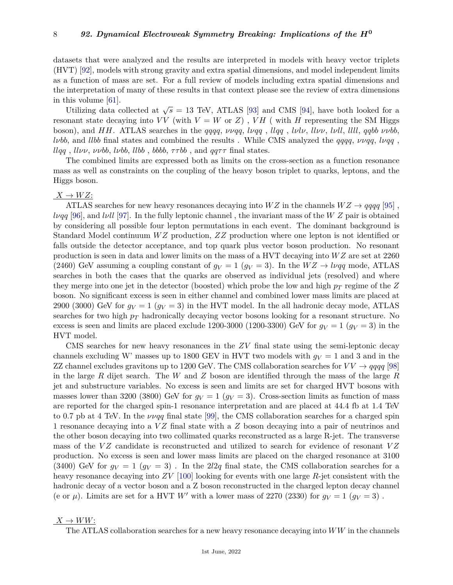datasets that were analyzed and the results are interpreted in models with heavy vector triplets (HVT) [\[92\]](#page-25-23), models with strong gravity and extra spatial dimensions, and model independent limits as a function of mass are set. For a full review of models including extra spatial dimensions and the interpretation of many of these results in that context please see the review of extra dimensions in this volume [\[61\]](#page-24-22).

Utilizing data collected at  $\sqrt{s} = 13$  TeV, ATLAS [\[93\]](#page-25-24) and CMS [\[94\]](#page-25-25), have both looked for a resonant state decaying into  $VV$  (with  $V = W$  or  $Z$ ),  $VH$  ( with  $H$  representing the SM Higgs boson), and *HH*. ATLAS searches in the *qqqq*, *ννqq*, *lνqq* , *llqq* , *lνlν*, *llνν*, *lνll*, *llll*, *qqbb ννbb*, *lνbb*, and *llbb* final states and combined the results . While CMS analyzed the *qqqq*, *ννqq*, *lνqq* , *llqq*, *llvv*, *vvbb*, *lvbb*, *llbb*, *bbbb*,  $\tau \tau bb$ , and  $qq\tau \tau$  final states.

The combined limits are expressed both as limits on the cross-section as a function resonance mass as well as constraints on the coupling of the heavy boson triplet to quarks, leptons, and the Higgs boson.

 $X \rightarrow WZ$ :

ATLAS searches for new heavy resonances decaying into  $WZ$  in the channels  $WZ \rightarrow qqqq$  [\[95\]](#page-25-26), *lνqq* [\[96\]](#page-25-27), and *lνll* [\[97\]](#page-25-28). In the fully leptonic channel , the invariant mass of the *W Z* pair is obtained by considering all possible four lepton permutations in each event. The dominant background is Standard Model continuum *W Z* production, *ZZ* production where one lepton is not identified or falls outside the detector acceptance, and top quark plus vector boson production. No resonant production is seen in data and lower limits on the mass of a HVT decaying into *W Z* are set at 2260 (2460) GeV assuming a coupling constant of  $g_V = 1$  ( $g_V = 3$ ). In the  $WZ \rightarrow l\nu qq$  mode, ATLAS searches in both the cases that the quarks are observed as individual jets (resolved) and where they merge into one jet in the detector (boosted) which probe the low and high *p<sup>T</sup>* regime of the *Z* boson. No significant excess is seen in either channel and combined lower mass limits are placed at 2900 (3000) GeV for  $g_V = 1$  ( $g_V = 3$ ) in the HVT model. In the all hadronic decay mode, ATLAS searches for two high *p<sup>T</sup>* hadronically decaying vector bosons looking for a resonant structure. No excess is seen and limits are placed exclude 1200-3000 (1200-3300) GeV for  $g_V = 1$  ( $g_V = 3$ ) in the HVT model.

CMS searches for new heavy resonances in the *ZV* final state using the semi-leptonic decay channels excluding W' masses up to 1800 GEV in HVT two models with  $g_V = 1$  and 3 and in the ZZ channel excludes gravitons up to 1200 GeV. The CMS collaboration searches for  $VV \rightarrow qqqq$  [\[98\]](#page-25-29) in the large *R* dijet search. The *W* and *Z* boson are identified through the mass of the large *R* jet and substructure variables. No excess is seen and limits are set for charged HVT bosons with masses lower than 3200 (3800) GeV for  $g_V = 1$  ( $g_V = 3$ ). Cross-section limits as function of mass are reported for the charged spin-1 resonance interpretation and are placed at 44.4 fb at 1.4 TeV to 0.7 pb at 4 TeV. In the *ννqq* final state [\[99\]](#page-25-30), the CMS collaboration searches for a charged spin 1 resonance decaying into a *V Z* final state with a *Z* boson decaying into a pair of neutrinos and the other boson decaying into two collimated quarks reconstructed as a large R-jet. The transverse mass of the *VZ* candidate is reconstructed and utilized to search for evidence of resonant *VZ* production. No excess is seen and lower mass limits are placed on the charged resonance at 3100 (3400) GeV for  $g_V = 1$  ( $g_V = 3$ ). In the 2l2q final state, the CMS collaboration searches for a heavy resonance decaying into *ZV* [\[100\]](#page-25-31) looking for events with one large *R*-jet consistent with the hadronic decay of a vector boson and a Z boson reconstructed in the charged lepton decay channel (e or  $\mu$ ). Limits are set for a HVT *W'* with a lower mass of 2270 (2330) for  $g_V = 1$  ( $g_V = 3$ ).

### $X \to WW$ :

The ATLAS collaboration searches for a new heavy resonance decaying into *WW* in the channels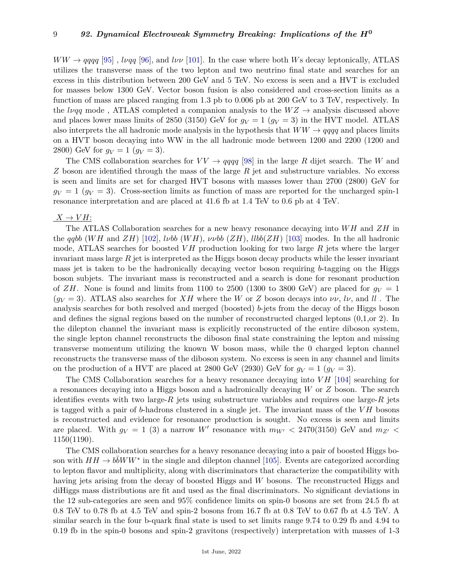$WW \rightarrow qqqq$  [\[95\]](#page-25-26), *lvqq* [\[96\]](#page-25-27), and *lvv* [\[101\]](#page-25-32). In the case where both *W*s decay leptonically, ATLAS utilizes the transverse mass of the two lepton and two neutrino final state and searches for an excess in this distribution between 200 GeV and 5 TeV. No excess is seen and a HVT is excluded for masses below 1300 GeV. Vector boson fusion is also considered and cross-section limits as a function of mass are placed ranging from 1.3 pb to 0.006 pb at 200 GeV to 3 TeV, respectively. In the *lvqq* mode, ATLAS completed a companion analysis to the  $WZ \rightarrow$  analysis discussed above and places lower mass limits of 2850 (3150) GeV for  $g_V = 1$  ( $g_V = 3$ ) in the HVT model. ATLAS also interprets the all hadronic mode analysis in the hypothesis that  $WW \rightarrow qqqq$  and places limits on a HVT boson decaying into WW in the all hadronic mode between 1200 and 2200 (1200 and 2800) GeV for  $q_V = 1$  ( $q_V = 3$ ).

The CMS collaboration searches for  $VV \rightarrow qqqq$  [\[98\]](#page-25-29) in the large R dijet search. The W and *Z* boson are identified through the mass of the large *R* jet and substructure variables. No excess is seen and limits are set for charged HVT bosons with masses lower than 2700 (2800) GeV for  $q_V = 1$  ( $q_V = 3$ ). Cross-section limits as function of mass are reported for the uncharged spin-1 resonance interpretation and are placed at 41.6 fb at 1.4 TeV to 0.6 pb at 4 TeV.

### $X \rightarrow VH$ :

The ATLAS Collaboration searches for a new heavy resonance decaying into *W H* and *ZH* in the *qqbb* (*W H* and *ZH*) [\[102\]](#page-25-33), *lνbb* (*W H*), *ννbb* (*ZH*), *llbb*(*ZH*) [\[103\]](#page-25-34) modes. In the all hadronic mode, ATLAS searches for boosted *V H* production looking for two large *R* jets where the larger invariant mass large *R* jet is interpreted as the Higgs boson decay products while the lesser invariant mass jet is taken to be the hadronically decaying vector boson requiring *b*-tagging on the Higgs boson subjets. The invariant mass is reconstructed and a search is done for resonant production of *ZH*. None is found and limits from 1100 to 2500 (1300 to 3800 GeV) are placed for  $q_V = 1$  $(g_V = 3)$ . ATLAS also searches for *XH* where the *W* or *Z* boson decays into  $\nu\nu$ ,  $l\nu$ , and *ll*. The analysis searches for both resolved and merged (boosted) *b*-jets from the decay of the Higgs boson and defines the signal regions based on the number of reconstructed charged leptons (0,1,or 2). In the dilepton channel the invariant mass is explicitly reconstructed of the entire diboson system, the single lepton channel reconstructs the diboson final state constraining the lepton and missing transverse momentum utilizing the known W boson mass, while the 0 charged lepton channel reconstructs the transverse mass of the diboson system. No excess is seen in any channel and limits on the production of a HVT are placed at 2800 GeV (2930) GeV for  $g_V = 1$  ( $g_V = 3$ ).

The CMS Collaboration searches for a heavy resonance decaying into *VH* [\[104\]](#page-25-35) searching for a resonances decaying into a Higgs boson and a hadronically decaying *W* or *Z* boson. The search identifies events with two large- $R$  jets using substructure variables and requires one large- $R$  jets is tagged with a pair of *b*-hadrons clustered in a single jet. The invariant mass of the *V H* bosons is reconstructed and evidence for resonance production is sought. No excess is seen and limits are placed. With  $g_V = 1$  (3) a narrow W' resonance with  $m_{W'} < 2470(3150)$  GeV and  $m_{Z'} <$ 1150(1190).

The CMS collaboration searches for a heavy resonance decaying into a pair of boosted Higgs boson with  $HH \to b\bar{b}WW^*$  in the single and dilepton channel [\[105\]](#page-25-36). Events are categorized according to lepton flavor and multiplicity, along with discriminators that characterize the compatibility with having jets arising from the decay of boosted Higgs and *W* bosons. The reconstructed Higgs and diHiggs mass distributions are fit and used as the final discriminators. No significant deviations in the 12 sub-categories are seen and 95% confidence limits on spin-0 bosons are set from 24.5 fb at 0.8 TeV to 0.78 fb at 4.5 TeV and spin-2 bosons from 16.7 fb at 0.8 TeV to 0.67 fb at 4.5 TeV. A similar search in the four b-quark final state is used to set limits range 9.74 to 0.29 fb and 4.94 to 0.19 fb in the spin-0 bosons and spin-2 gravitons (respectively) interpretation with masses of 1-3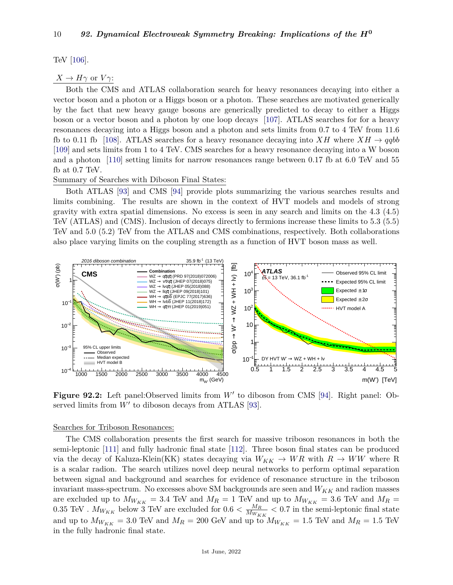TeV [\[106\]](#page-26-0).

# $X \to H\gamma$  or  $V\gamma$ :

Both the CMS and ATLAS collaboration search for heavy resonances decaying into either a vector boson and a photon or a Higgs boson or a photon. These searches are motivated generically by the fact that new heavy gauge bosons are generically predicted to decay to either a Higgs boson or a vector boson and a photon by one loop decays [\[107\]](#page-26-1). ATLAS searches for for a heavy resonances decaying into a Higgs boson and a photon and sets limits from 0.7 to 4 TeV from 11.6 fb to 0.11 fb [\[108\]](#page-26-2). ATLAS searches for a heavy resonance decaying into  $XH$  where  $XH \rightarrow qqbb$ [\[109\]](#page-26-3) and sets limits from 1 to 4 TeV. CMS searches for a heavy resonance decaying into a W boson and a photon [\[110\]](#page-26-4) setting limits for narrow resonances range between 0.17 fb at 6.0 TeV and 55 fb at 0.7 TeV.

Summary of Searches with Diboson Final States:

Both ATLAS [\[93\]](#page-25-24) and CMS [\[94\]](#page-25-25) provide plots summarizing the various searches results and limits combining. The results are shown in the context of HVT models and models of strong gravity with extra spatial dimensions. No excess is seen in any search and limits on the 4.3 (4.5) TeV (ATLAS) and (CMS). Inclusion of decays directly to fermions increase these limits to 5.3 (5.5) TeV and 5.0 (5.2) TeV from the ATLAS and CMS combinations, respectively. Both collaborations also place varying limits on the coupling strength as a function of HVT boson mass as well.



Figure 92.2: Left panel:Observed limits from W' to diboson from CMS [\[94\]](#page-25-25). Right panel: Observed limits from  $W'$  to diboson decays from ATLAS [\[93\]](#page-25-24).

### Searches for Triboson Resonances:

The CMS collaboration presents the first search for massive triboson resonances in both the semi-leptonic [\[111\]](#page-26-5) and fully hadronic final state [\[112\]](#page-26-6). Three boson final states can be produced via the decay of Kaluza-Klein(KK) states decaying via  $W_{KK} \to WR$  with  $R \to WW$  where R is a scalar radion. The search utilizes novel deep neural networks to perform optimal separation between signal and background and searches for evidence of resonance structure in the triboson invariant mass-spectrum. No excesses above SM backgrounds are seen and *WKK* and radion masses are excluded up to  $M_{W_{KK}} = 3.4$  TeV and  $M_R = 1$  TeV and up to  $M_{W_{KK}} = 3.6$  TeV and  $M_R =$ 0.35 TeV .  $M_{W_{KK}}$  below 3 TeV are excluded for  $0.6 < \frac{M_R}{M_{W_K}}$  $\frac{M_R}{M_{W_{KK}}}$  < 0.7 in the semi-leptonic final state and up to  $M_{W_{KK}} = 3.0$  TeV and  $M_R = 200$  GeV and up to  $M_{W_{KK}} = 1.5$  TeV and  $M_R = 1.5$  TeV in the fully hadronic final state.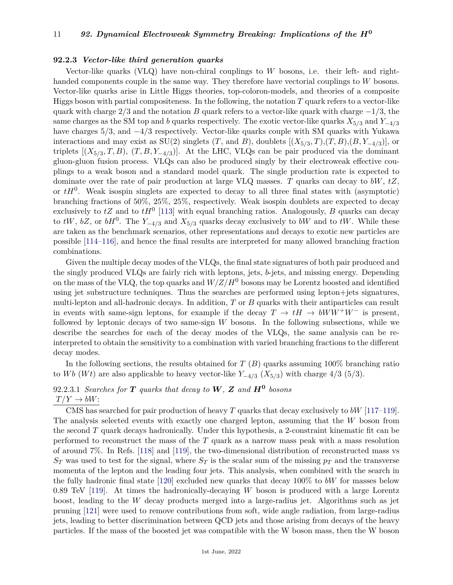### **92.2.3** *Vector-like third generation quarks*

Vector-like quarks (VLQ) have non-chiral couplings to *W* bosons, i.e. their left- and righthanded components couple in the same way. They therefore have vectorial couplings to *W* bosons. Vector-like quarks arise in Little Higgs theories, top-coloron-models, and theories of a composite Higgs boson with partial compositeness. In the following, the notation *T* quark refers to a vector-like quark with charge 2*/*3 and the notation *B* quark refers to a vector-like quark with charge −1*/*3, the same charges as the SM top and *b* quarks respectively. The exotic vector-like quarks  $X_{5/3}$  and  $Y_{-4/3}$ have charges 5*/*3, and −4*/*3 respectively. Vector-like quarks couple with SM quarks with Yukawa interactions and may exist as  $SU(2)$  singlets  $(T, \text{ and } B)$ , doublets  $[(X_{5/3}, T), (T, B), (B, Y_{-4/3})]$ , or triplets  $[(X_{5/3}, T, B), (T, B, Y_{-4/3})]$ . At the LHC, VLQs can be pair produced via the dominant gluon-gluon fusion process. VLQs can also be produced singly by their electroweak effective couplings to a weak boson and a standard model quark. The single production rate is expected to dominate over the rate of pair production at large VLQ masses. *T* quarks can decay to *bW*, *tZ*, or  $tH<sup>0</sup>$ . Weak isospin singlets are expected to decay to all three final states with (asymptotic) branching fractions of 50%, 25%, 25%, respectively. Weak isospin doublets are expected to decay exclusively to  $tZ$  and to  $tH^0$  [\[113\]](#page-26-7) with equal branching ratios. Analogously, *B* quarks can decay to  $tW$ ,  $bZ$ , or  $bH^0$ . The  $Y_{-4/3}$  and  $X_{5/3}$  quarks decay exclusively to  $bW$  and to  $tW$ . While these are taken as the benchmark scenarios, other representations and decays to exotic new particles are possible [\[114](#page-26-8)[–116\]](#page-26-9), and hence the final results are interpreted for many allowed branching fraction combinations.

Given the multiple decay modes of the VLQs, the final state signatures of both pair produced and the singly produced VLQs are fairly rich with leptons, jets, *b*-jets, and missing energy. Depending on the mass of the VLQ, the top quarks and  $W/Z/H^0$  bosons may be Lorentz boosted and identified using jet substructure techniques. Thus the searches are performed using lepton+jets signatures, multi-lepton and all-hadronic decays. In addition, *T* or *B* quarks with their antiparticles can result in events with same-sign leptons, for example if the decay  $T \to tH \to bWW^+W^-$  is present. followed by leptonic decays of two same-sign *W* bosons. In the following subsections, while we describe the searches for each of the decay modes of the VLQs, the same analysis can be reinterpreted to obtain the sensitivity to a combination with varied branching fractions to the different decay modes.

In the following sections, the results obtained for *T* (*B*) quarks assuming 100% branching ratio to *Wb* (*Wt*) are also applicable to heavy vector-like  $Y_{-4/3}$  ( $X_{5/3}$ ) with charge 4/3 (5/3).

# 92.2.3.1 *Searches for T quarks that decay to W, Z and H***<sup>0</sup>** *bosons*  $T/Y \rightarrow bW$ :

CMS has searched for pair production of heavy *T* quarks that decay exclusively to *bW* [\[117–](#page-26-10)[119\]](#page-26-11). The analysis selected events with exactly one charged lepton, assuming that the *W* boson from the second *T* quark decays hadronically. Under this hypothesis, a 2-constraint kinematic fit can be performed to reconstruct the mass of the *T* quark as a narrow mass peak with a mass resolution of around 7%. In Refs. [\[118\]](#page-26-12) and [\[119\]](#page-26-11), the two-dimensional distribution of reconstructed mass vs  $S_T$  was used to test for the signal, where  $S_T$  is the scalar sum of the missing  $p_T$  and the transverse momenta of the lepton and the leading four jets. This analysis, when combined with the search in the fully hadronic final state [\[120\]](#page-26-13) excluded new quarks that decay 100% to *bW* for masses below 0.89 TeV [\[119\]](#page-26-11). At times the hadronically-decaying *W* boson is produced with a large Lorentz boost, leading to the *W* decay products merged into a large-radius jet. Algorithms such as jet pruning [\[121\]](#page-26-14) were used to remove contributions from soft, wide angle radiation, from large-radius jets, leading to better discrimination between QCD jets and those arising from decays of the heavy particles. If the mass of the boosted jet was compatible with the W boson mass, then the W boson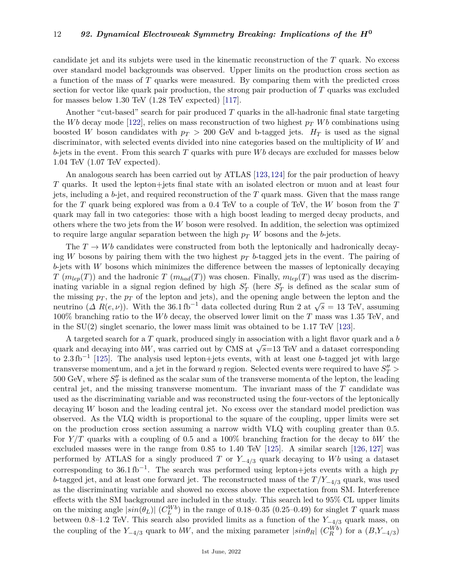candidate jet and its subjets were used in the kinematic reconstruction of the *T* quark. No excess over standard model backgrounds was observed. Upper limits on the production cross section as a function of the mass of *T* quarks were measured. By comparing them with the predicted cross section for vector like quark pair production, the strong pair production of *T* quarks was excluded for masses below 1.30 TeV (1.28 TeV expected) [\[117\]](#page-26-10).

Another "cut-based" search for pair produced *T* quarks in the all-hadronic final state targeting the *Wb* decay mode [\[122\]](#page-26-15), relies on mass reconstruction of two highest  $p<sub>T</sub>$  *Wb* combinations using boosted *W* boson candidates with  $p_T > 200$  GeV and b-tagged jets.  $H_T$  is used as the signal discriminator, with selected events divided into nine categories based on the multiplicity of *W* and *b*-jets in the event. From this search *T* quarks with pure *W b* decays are excluded for masses below 1.04 TeV (1.07 TeV expected).

An analogous search has been carried out by ATLAS [\[123,](#page-26-16)[124\]](#page-26-17) for the pair production of heavy *T* quarks. It used the lepton+jets final state with an isolated electron or muon and at least four jets, including a *b*-jet, and required reconstruction of the *T* quark mass. Given that the mass range for the *T* quark being explored was from a 0.4 TeV to a couple of TeV, the *W* boson from the *T* quark may fall in two categories: those with a high boost leading to merged decay products, and others where the two jets from the *W* boson were resolved. In addition, the selection was optimized to require large angular separation between the high *p<sup>T</sup> W* bosons and the *b*-jets.

The  $T \to Wb$  candidates were constructed from both the leptonically and hadronically decaying *W* bosons by pairing them with the two highest  $p<sub>T</sub>$  *b*-tagged jets in the event. The pairing of *b*-jets with *W* bosons which minimizes the difference between the masses of leptonically decaying *T* ( $m_{lep}(T)$ ) and the hadronic *T* ( $m_{had}(T)$ ) was chosen. Finally,  $m_{lep}(T)$  was used as the discriminating variable in a signal region defined by high  $S'_T$  (here  $S'_T$  is defined as the scalar sum of the missing  $p_T$ , the  $p_T$  of the lepton and jets), and the opening angle between the lepton and the neutrino ( $\Delta R(e, \nu)$ ). With the 36.1 fb<sup>-1</sup> data collected during Run 2 at  $\sqrt{s} = 13$  TeV, assuming 100% branching ratio to the *W b* decay, the observed lower limit on the *T* mass was 1.35 TeV, and in the  $SU(2)$  singlet scenario, the lower mass limit was obtained to be 1.17 TeV [\[123\]](#page-26-16).

A targeted search for a *T* quark, produced singly in association with a light flavor quark and a *b* A targeted search for a *1* quark, produced singly in association with a light havor quark and a *b* quark and decaying into *bW*, was carried out by CMS at  $\sqrt{s}$ =13 TeV and a dataset corresponding to 2.3 fb−<sup>1</sup> [\[125\]](#page-26-18). The analysis used lepton+jets events, with at least one *b*-tagged jet with large transverse momentum, and a jet in the forward  $\eta$  region. Selected events were required to have  $S_T''$  >  $500 \text{ GeV}$ , where  $S_T''$  is defined as the scalar sum of the transverse momenta of the lepton, the leading central jet, and the missing transverse momentum. The invariant mass of the *T* candidate was used as the discriminating variable and was reconstructed using the four-vectors of the leptonically decaying *W* boson and the leading central jet. No excess over the standard model prediction was observed. As the VLQ width is proportional to the square of the coupling, upper limits were set on the production cross section assuming a narrow width VLQ with coupling greater than 0.5. For *Y /T* quarks with a coupling of 0.5 and a 100% branching fraction for the decay to *bW* the excluded masses were in the range from 0.85 to 1.40 TeV  $[125]$ . A similar search  $[126, 127]$  $[126, 127]$  $[126, 127]$  was performed by ATLAS for a singly produced *T* or  $Y_{-4/3}$  quark decaying to *Wb* using a dataset corresponding to 36.1 fb<sup>-1</sup>. The search was performed using lepton+jets events with a high  $p_T$ *b*-tagged jet, and at least one forward jet. The reconstructed mass of the *T*/*Y*−4*/*<sup>3</sup> quark, was used as the discriminating variable and showed no excess above the expectation from SM. Interference effects with the SM background are included in the study. This search led to 95% CL upper limits on the mixing angle  $|sin(\theta_L)|$  ( $C_L^{Wb}$ ) in the range of 0.18–0.35 (0.25–0.49) for singlet *T* quark mass between 0.8–1.2 TeV. This search also provided limits as a function of the *Y*−4*/*<sup>3</sup> quark mass, on the coupling of the  $Y_{-4/3}$  quark to *bW*, and the mixing parameter  $|sin\theta_R|$  ( $C_R^{Wb}$ ) for a ( $B,Y_{-4/3}$ )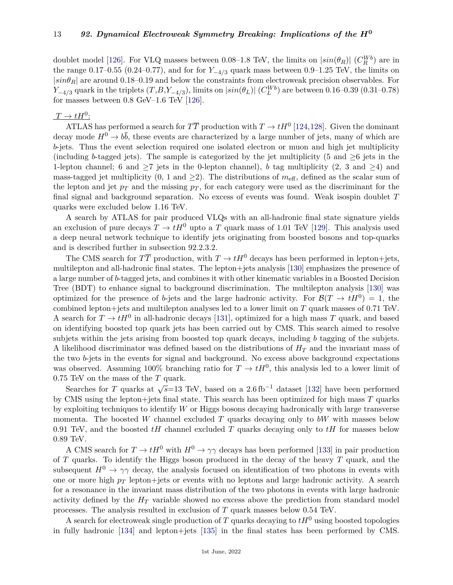doublet model [\[126\]](#page-26-19). For VLQ masses between 0.08–1.8 TeV, the limits on  $|sin(\theta_R)|$  ( $C_R^{Wb}$ ) are in the range 0.17–0.55 (0.24–0.77), and for for  $Y_{-4/3}$  quark mass between 0.9–1.25 TeV, the limits on  $|sin\theta_R|$  are around 0.18–0.19 and below the constraints from electroweak precision observables. For *Y*−4*/*3 quark in the triplets  $(T, B, Y_{-4/3})$ , limits on  $|\sin(\theta_L)|$  ( $C_L^{Wb}$ ) are between 0.16–0.39 (0.31–0.78) for masses between 0.8 GeV–1.6 TeV [\[126\]](#page-26-19).

# $T \rightarrow tH^0$ :

ATLAS has performed a search for  $T\overline{T}$  production with  $T \to tH^0$  [\[124,](#page-26-17)[128\]](#page-26-21). Given the dominant decay mode  $H^0 \to b\bar{b}$ , these events are characterized by a large number of jets, many of which are *b*-jets. Thus the event selection required one isolated electron or muon and high jet multiplicity (including *b*-tagged jets). The sample is categorized by the jet multiplicity (5 and  $\geq$ 6 jets in the 1-lepton channel; 6 and  $\geq 7$  jets in the 0-lepton channel), *b* tag multiplicity (2, 3 and  $\geq 4$ ) and mass-tagged jet multiplicity  $(0, 1 \text{ and } \geq 2)$ . The distributions of  $m_{\text{eff}}$ , defined as the scalar sum of the lepton and jet  $p_T$  and the missing  $p_T$ , for each category were used as the discriminant for the final signal and background separation. No excess of events was found. Weak isospin doublet *T* quarks were excluded below 1.16 TeV.

A search by ATLAS for pair produced VLQs with an all-hadronic final state signature yields an exclusion of pure decays  $T \to tH^0$  upto a *T* quark mass of 1.01 TeV [\[129\]](#page-26-22). This analysis used a deep neural network technique to identify jets originating from boosted bosons and top-quarks and is described further in subsection 92.2.3.2.

The CMS search for  $T\overline{T}$  production, with  $T \to tH^0$  decays has been performed in lepton+jets, multilepton and all-hadronic final states. The lepton+jets analysis [\[130\]](#page-26-23) emphasizes the presence of a large number of *b*-tagged jets, and combines it with other kinematic variables in a Boosted Decision Tree (BDT) to enhance signal to background discrimination. The multilepton analysis [\[130\]](#page-26-23) was optimized for the presence of *b*-jets and the large hadronic activity. For  $\mathcal{B}(T \to tH^0) = 1$ , the combined lepton+jets and multilepton analyses led to a lower limit on *T* quark masses of 0.71 TeV. A search for  $T \to tH^0$  in all-hadronic decays [\[131\]](#page-26-24), optimized for a high mass *T* quark, and based on identifying boosted top quark jets has been carried out by CMS. This search aimed to resolve subjets within the jets arising from boosted top quark decays, including *b* tagging of the subjets. A likelihood discriminator was defined based on the distributions of *H<sup>T</sup>* and the invariant mass of the two *b*-jets in the events for signal and background. No excess above background expectations was observed. Assuming 100% branching ratio for  $T \to tH^0$ , this analysis led to a lower limit of 0.75 TeV on the mass of the *T* quark.

Searches for *T* quarks at  $\sqrt{s}$ =13 TeV, based on a 2.6 fb<sup>-1</sup> dataset [\[132\]](#page-26-25) have been performed by CMS using the lepton+jets final state. This search has been optimized for high mass *T* quarks by exploiting techniques to identify *W* or Higgs bosons decaying hadronically with large transverse momenta. The boosted *W* channel excluded *T* quarks decaying only to *bW* with masses below 0.91 TeV, and the boosted *tH* channel excluded *T* quarks decaying only to *tH* for masses below 0.89 TeV.

A CMS search for  $T \to tH^0$  with  $H^0 \to \gamma\gamma$  decays has been performed [\[133\]](#page-26-26) in pair production of *T* quarks. To identify the Higgs boson produced in the decay of the heavy *T* quark, and the subsequent  $H^0 \to \gamma\gamma$  decay, the analysis focused on identification of two photons in events with one or more high  $p_T$  lepton+jets or events with no leptons and large hadronic activity. A search for a resonance in the invariant mass distribution of the two photons in events with large hadronic activity defined by the  $H_T$  variable showed no excess above the prediction from standard model processes. The analysis resulted in exclusion of *T* quark masses below 0.54 TeV.

A search for electroweak single production of  $T$  quarks decaying to  $tH^0$  using boosted topologies in fully hadronic [\[134\]](#page-26-27) and lepton+jets [\[135\]](#page-26-28) in the final states has been performed by CMS.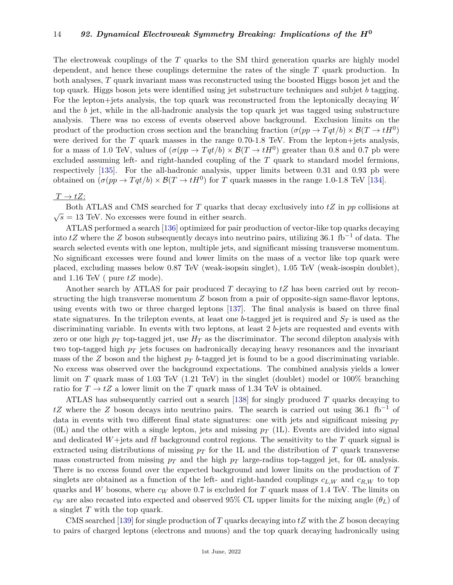The electroweak couplings of the *T* quarks to the SM third generation quarks are highly model dependent, and hence these couplings determine the rates of the single *T* quark production. In both analyses, *T* quark invariant mass was reconstructed using the boosted Higgs boson jet and the top quark. Higgs boson jets were identified using jet substructure techniques and subjet *b* tagging. For the lepton+jets analysis, the top quark was reconstructed from the leptonically decaying *W* and the *b* jet, while in the all-hadronic analysis the top quark jet was tagged using substructure analysis. There was no excess of events observed above background. Exclusion limits on the product of the production cross section and the branching fraction  $(\sigma(pp \to Tqt/b) \times \mathcal{B}(T \to tH^0))$ were derived for the  $T$  quark masses in the range  $0.70-1.8$  TeV. From the lepton+jets analysis, for a mass of 1.0 TeV, values of  $(\sigma(pp \to Tqt/b) \times \mathcal{B}(T \to tH^0)$  greater than 0.8 and 0.7 pb were excluded assuming left- and right-handed coupling of the *T* quark to standard model fermions, respectively [\[135\]](#page-26-28). For the all-hadronic analysis, upper limits between 0.31 and 0.93 pb were obtained on  $(\sigma(pp \to Tqt/b) \times \mathcal{B}(T \to tH^0))$  for *T* quark masses in the range 1.0-1.8 TeV [\[134\]](#page-26-27).

### $T \rightarrow tZ$ :

Both ATLAS and CMS searched for *T* quarks that decay exclusively into *tZ* in *pp* collisions at Both ATLAS and CMS searched for T quarks that  $\sqrt{s} = 13$  TeV. No excesses were found in either search.

ATLAS performed a search [\[136\]](#page-26-29) optimized for pair production of vector-like top quarks decaying into  $tZ$  where the  $Z$  boson subsequently decays into neutrino pairs, utilizing 36.1 fb<sup>-1</sup> of data. The search selected events with one lepton, multiple jets, and significant missing transverse momentum. No significant excesses were found and lower limits on the mass of a vector like top quark were placed, excluding masses below 0.87 TeV (weak-isopsin singlet), 1.05 TeV (weak-isospin doublet), and 1.16 TeV ( pure *tZ* mode).

Another search by ATLAS for pair produced *T* decaying to *tZ* has been carried out by reconstructing the high transverse momentum *Z* boson from a pair of opposite-sign same-flavor leptons, using events with two or three charged leptons [\[137\]](#page-26-30). The final analysis is based on three final state signatures. In the trilepton events, at least one *b*-tagged jet is required and  $S_T$  is used as the discriminating variable. In events with two leptons, at least 2 *b*-jets are requested and events with zero or one high  $p_T$  top-tagged jet, use  $H_T$  as the discriminator. The second dilepton analysis with two top-tagged high *p<sup>T</sup>* jets focuses on hadronically decaying heavy resonances and the invariant mass of the *Z* boson and the highest *p<sup>T</sup> b*-tagged jet is found to be a good discriminating variable. No excess was observed over the background expectations. The combined analysis yields a lower limit on *T* quark mass of 1.03 TeV (1.21 TeV) in the singlet (doublet) model or 100% branching ratio for  $T \to tZ$  a lower limit on the *T* quark mass of 1.34 TeV is obtained.

ATLAS has subsequently carried out a search [\[138\]](#page-26-31) for singly produced *T* quarks decaying to *tZ* where the *Z* boson decays into neutrino pairs. The search is carried out using 36.1  $fb^{-1}$  of data in events with two different final state signatures: one with jets and significant missing *p<sup>T</sup>* (0L) and the other with a single lepton, jets and missing  $p_T$  (1L). Events are divided into signal and dedicated  $W +$ jets and  $t\bar{t}$  background control regions. The sensitivity to the *T* quark signal is extracted using distributions of missing  $p_T$  for the 1L and the distribution of  $T$  quark transverse mass constructed from missing  $p_T$  and the high  $p_T$  large-radius top-tagged jet, for 0L analysis. There is no excess found over the expected background and lower limits on the production of *T* singlets are obtained as a function of the left- and right-handed couplings  $c_{L,W}$  and  $c_{R,W}$  to top quarks and *W* bosons, where  $c_W$  above 0.7 is excluded for *T* quark mass of 1.4 TeV. The limits on *c<sub>W</sub>* are also recasted into expected and observed 95% CL upper limits for the mixing angle (*θL*) of a singlet *T* with the top quark.

CMS searched [\[139\]](#page-26-32) for single production of *T* quarks decaying into *tZ* with the *Z* boson decaying to pairs of charged leptons (electrons and muons) and the top quark decaying hadronically using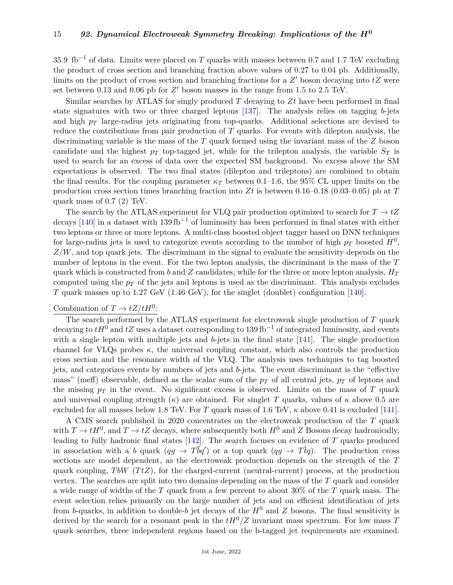35.9  $\text{fb}^{-1}$  of data. Limits were placed on *T* quarks with masses between 0.7 and 1.7 TeV excluding the product of cross section and branching fraction above values of 0.27 to 0.04 pb. Additionally, limits on the product of cross section and branching fractions for a  $Z'$  boson decaying into  $tZ$  were set between 0.13 and 0.06 pb for  $Z'$  boson masses in the range from 1.5 to 2.5 TeV.

Similar searches by ATLAS for singly produced *T* decaying to *Zt* have been performed in final state signatures with two or three charged leptons [\[137\]](#page-26-30). The analysis relies on tagging *b*-jets and high *p<sup>T</sup>* large-radius jets originating from top-quarks. Additional selections are devised to reduce the contributions from pair production of *T* quarks. For events with dilepton analysis, the discriminating variable is the mass of the *T* quark formed using the invariant mass of the *Z* boson candidate and the highest  $p<sub>T</sub>$  top-tagged jet, while for the trilepton analysis, the variable  $S<sub>T</sub>$  is used to search for an excess of data over the expected SM background. No excess above the SM expectations is observed. The two final states (dilepton and trileptons) are combined to obtain the final results. For the coupling parameter  $\kappa_T$  between 0.1–1.6, the 95% CL upper limits on the production cross section times branching fraction into *Zt* is between 0.16–0.18 (0.03–0.05) pb at *T* quark mass of 0.7 (2) TeV.

The search by the ATLAS experiment for VLQ pair production optimized to search for  $T \to tZ$ decays [\[140\]](#page-26-33) in a dataset with  $139 \text{ fb}^{-1}$  of luminosity has been performed in final states with either two leptons or three or more leptons. A multi-class boosted object tagger based on DNN techniques for large-radius jets is used to categorize events according to the number of high  $p_T$  boosted  $H^0$ , *Z/W*, and top quark jets. The discriminant in the signal to evaluate the sensitivity depends on the number of leptons in the event. For the two lepton analysis, the discriminant is the mass of the *T* quark which is constructed from *b* and *Z* candidates, while for the three or more lepton analysis,  $H_T$ computed using the  $p<sub>T</sub>$  of the jets and leptons is used as the discriminant. This analysis excludes *T* quark masses up to 1.27 GeV (1.46 GeV), for the singlet (doublet) configuration [\[140\]](#page-26-33).

# Combination of  $T \to tZ/tH^0$ :

The search performed by the ATLAS experiment for electroweak single production of *T* quark decaying to  $tH^0$  and  $tZ$  uses a dataset corresponding to 139 fb<sup>-1</sup> of integrated luminosity, and events with a single lepton with multiple jets and *b*-jets in the final state [\[141\]](#page-27-0). The single production channel for VLQs probes  $\kappa$ , the universal coupling constant, which also controls the production cross section and the resonance width of the VLQ. The analysis uses techniques to tag boosted jets, and categorizes events by numbers of jets and *b*-jets. The event discriminant is the "effective mass" (meff) observable, defined as the scalar sum of the  $p_T$  of all central jets,  $p_T$  of leptons and the missing  $p_T$  in the event. No significant excess is observed. Limits on the mass of  $T$  quark and universal coupling strength  $(\kappa)$  are obtained. For singlet T quarks, values of  $\kappa$  above 0.5 are excluded for all masses below 1.8 TeV. For *T* quark mass of 1.6 TeV,  $\kappa$  above 0.41 is excluded [\[141\]](#page-27-0).

A CMS search published in 2020 concentrates on the electroweak production of the *T* quark with  $T \to tH^0$ , and  $T \to tZ$  decays, where subsequently both  $H^0$  and *Z* Bosons decay hadronically, leading to fully hadronic final states [\[142\]](#page-27-1). The search focuses on evidence of *T* quarks produced in association with a *b* quark  $(qg \to T\bar{b}q')$  or a top quark  $(qg \to T\bar{t}q)$ . The production cross sections are model dependent, as the electroweak production depends on the strength of the *T* quark coupling,  $T bW$  ( $T tZ$ ), for the charged-current (neutral-current) process, at the production vertex. The searches are split into two domains depending on the mass of the *T* quark and consider a wide range of widths of the *T* quark from a few percent to about 30% of the *T* quark mass. The event selection relies primarily on the large number of jets and on efficient identification of jets from *b*-quarks, in addition to double-*b* jet decays of the  $H^0$  and *Z* bosons. The final sensitivity is derived by the search for a resonant peak in the  $tH^0/Z$  invariant mass spectrum. For low mass *T* quark searches, three independent regions based on the b-tagged jet requirements are examined.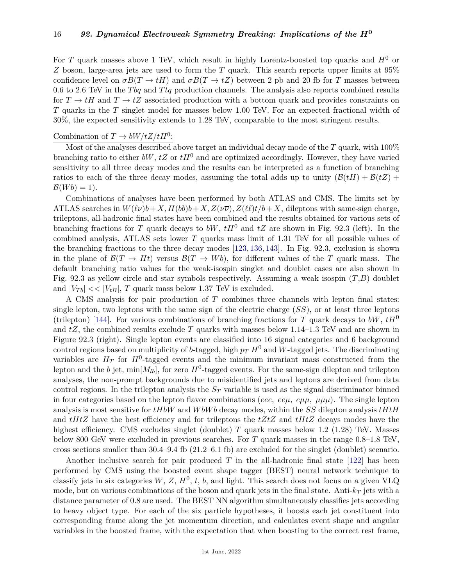For *T* quark masses above 1 TeV, which result in highly Lorentz-boosted top quarks and  $H^0$  or *Z* boson, large-area jets are used to form the *T* quark. This search reports upper limits at 95% confidence level on  $\sigma B(T \to tH)$  and  $\sigma B(T \to tZ)$  between 2 pb and 20 fb for *T* masses between 0.6 to 2.6 TeV in the *T bq* and *T tq* production channels. The analysis also reports combined results for  $T \to tH$  and  $T \to tZ$  associated production with a bottom quark and provides constraints on *T* quarks in the *T* singlet model for masses below 1.00 TeV. For an expected fractional width of 30%, the expected sensitivity extends to 1.28 TeV, comparable to the most stringent results.

# Combination of  $T \to bW/tZ/tH^0$ :

Most of the analyses described above target an individual decay mode of the *T* quark, with 100% branching ratio to either *bW*,  $tZ$  or  $tH^0$  and are optimized accordingly. However, they have varied sensitivity to all three decay modes and the results can be interpreted as a function of branching ratios to each of the three decay modes, assuming the total adds up to unity  $(\mathcal{B}(tH) + \mathcal{B}(tZ) +$  $\mathcal{B}(Wb) = 1$ .

Combinations of analyses have been performed by both ATLAS and CMS. The limits set by ATLAS searches in  $W(\ell \nu)b + X, H(b)b + X, Z(\nu \overline{\nu}), Z(\ell \ell)t/b + X$ , dileptons with same-sign charge, trileptons, all-hadronic final states have been combined and the results obtained for various sets of branching fractions for *T* quark decays to *bW*, *tH*<sup>0</sup> and *tZ* are shown in Fig. 92.3 (left). In the combined analysis, ATLAS sets lower *T* quarks mass limit of 1.31 TeV for all possible values of the branching fractions to the three decay modes [\[123,](#page-26-16) [136,](#page-26-29) [143\]](#page-27-2). In Fig. 92.3, exclusion is shown in the plane of  $\mathcal{B}(T \to Ht)$  versus  $\mathcal{B}(T \to Wb)$ , for different values of the *T* quark mass. The default branching ratio values for the weak-isospin singlet and doublet cases are also shown in Fig. 92.3 as yellow circle and star symbols respectively. Assuming a weak isospin (*T*,*B*) doublet and  $|V_{Tb}| \ll |V_{tB}|$ , *T* quark mass below 1.37 TeV is excluded.

A CMS analysis for pair production of *T* combines three channels with lepton final states: single lepton, two leptons with the same sign of the electric charge (*SS*), or at least three leptons (trilepton) [\[144\]](#page-27-3). For various combinations of branching fractions for *T* quark decays to *bW*,  $tH^0$ and *tZ*, the combined results exclude *T* quarks with masses below 1.14–1.3 TeV and are shown in Figure 92.3 (right). Single lepton events are classified into 16 signal categories and 6 background control regions based on multiplicity of *b*-tagged, high  $p_T H^0$  and *W*-tagged jets. The discriminating variables are  $H_T$  for  $H^0$ -tagged events and the minimum invariant mass constructed from the lepton and the *b* jet, min $[M_{lb}]$ , for zero  $H^0$ -tagged events. For the same-sign dilepton and trilepton analyses, the non-prompt backgrounds due to misidentified jets and leptons are derived from data control regions. In the trilepton analysis the *S<sup>T</sup>* variable is used as the signal discriminator binned in four categories based on the lepton flavor combinations (*eee, eeµ, eµµ, µµµ*). The single lepton analysis is most sensitive for *tHbW* and *W bW b* decay modes, within the *SS* dilepton analysis *tHtH* and *tHtZ* have the best efficiency and for trileptons the *tZtZ* and *tHtZ* decays modes have the highest efficiency. CMS excludes singlet (doublet) *T* quark masses below 1.2 (1.28) TeV. Masses below 800 GeV were excluded in previous searches. For *T* quark masses in the range 0.8–1.8 TeV, cross sections smaller than 30.4–9.4 fb (21.2–6.1 fb) are excluded for the singlet (doublet) scenario.

Another inclusive search for pair produced *T* in the all-hadronic final state [\[122\]](#page-26-15) has been performed by CMS using the boosted event shape tagger (BEST) neural network technique to classify jets in six categories  $W, Z, H^0, t, b$ , and light. This search does not focus on a given VLQ mode, but on various combinations of the boson and quark jets in the final state. Anti-*k<sup>T</sup>* jets with a distance parameter of 0.8 are used. The BEST NN algorithm simultaneously classifies jets according to heavy object type. For each of the six particle hypotheses, it boosts each jet constituent into corresponding frame along the jet momentum direction, and calculates event shape and angular variables in the boosted frame, with the expectation that when boosting to the correct rest frame,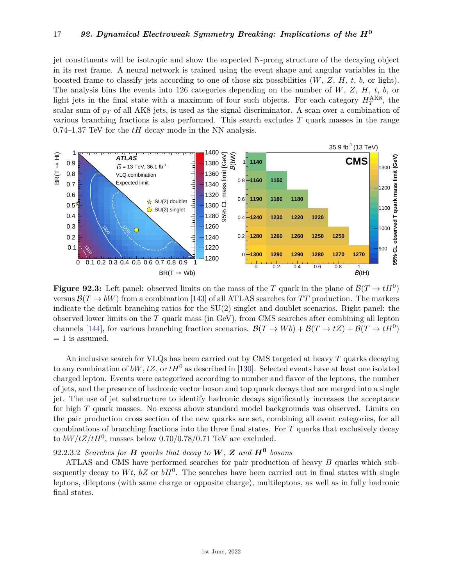jet constituents will be isotropic and show the expected N-prong structure of the decaying object in its rest frame. A neural network is trained using the event shape and angular variables in the boosted frame to classify jets according to one of those six possibilities  $(W, Z, H, t, b, \text{ or light}).$ The analysis bins the events into 126 categories depending on the number of *W*, *Z*, *H*, *t*, *b*, or light jets in the final state with a maximum of four such objects. For each category  $H_T^{\text{AK8}}$ , the scalar sum of  $p_T$  of all AK8 jets, is used as the signal discriminator. A scan over a combination of various branching fractions is also performed. This search excludes *T* quark masses in the range 0.74–1.37 TeV for the *tH* decay mode in the NN analysis.



**Figure 92.3:** Left panel: observed limits on the mass of the *T* quark in the plane of  $\mathcal{B}(T \to tH^0)$ versus  $\mathcal{B}(T \to bW)$  from a combination [\[143\]](#page-27-2) of all ATLAS searches for TT production. The markers indicate the default branching ratios for the SU(2) singlet and doublet scenarios. Right panel: the observed lower limits on the *T* quark mass (in GeV), from CMS searches after combining all lepton channels [\[144\]](#page-27-3), for various branching fraction scenarios.  $\mathcal{B}(T \to Wb) + \mathcal{B}(T \to tZ) + \mathcal{B}(T \to tH^0)$  $= 1$  is assumed.

An inclusive search for VLQs has been carried out by CMS targeted at heavy *T* quarks decaying to any combination of  $bW$ ,  $tZ$ , or  $tH^0$  as described in [\[130\]](#page-26-23). Selected events have at least one isolated charged lepton. Events were categorized according to number and flavor of the leptons, the number of jets, and the presence of hadronic vector boson and top quark decays that are merged into a single jet. The use of jet substructure to identify hadronic decays significantly increases the acceptance for high *T* quark masses. No excess above standard model backgrounds was observed. Limits on the pair production cross section of the new quarks are set, combining all event categories, for all combinations of branching fractions into the three final states. For *T* quarks that exclusively decay to  $bW/tZ/tH^0$ , masses below 0.70/0.78/0.71 TeV are excluded.

# 92.2.3.2 *Searches for B quarks that decay to W, Z and H***<sup>0</sup>** *bosons*

ATLAS and CMS have performed searches for pair production of heavy *B* quarks which subsequently decay to  $Wt$ ,  $bZ$  or  $bH^0$ . The searches have been carried out in final states with single leptons, dileptons (with same charge or opposite charge), multileptons, as well as in fully hadronic final states.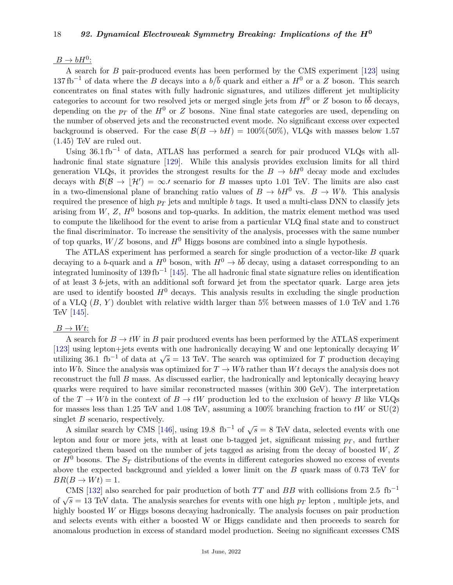# $B \to bH^0$ :

A search for *B* pair-produced events has been performed by the CMS experiment [\[123\]](#page-26-16) using 137 fb<sup>-1</sup> of data where the *B* decays into a  $b/\overline{b}$  quark and either a  $H^0$  or a *Z* boson. This search concentrates on final states with fully hadronic signatures, and utilizes different jet multiplicity categories to account for two resolved jets or merged single jets from  $H^0$  or *Z* boson to  $b\bar{b}$  decays, depending on the  $p_T$  of the  $H^0$  or *Z* bosons. Nine final state categories are used, depending on the number of observed jets and the reconstructed event mode. No significant excess over expected background is observed. For the case  $\mathcal{B}(B \to bH) = 100\% (50\%)$ , VLQs with masses below 1.57 (1.45) TeV are ruled out.

Using  $36.1 \text{ fb}^{-1}$  of data, ATLAS has performed a search for pair produced VLQs with allhadronic final state signature [\[129\]](#page-26-22). While this analysis provides exclusion limits for all third generation VLQs, it provides the strongest results for the  $B \to bH^0$  decay mode and excludes decays with  $\mathcal{B}(\mathcal{B} \to |\mathcal{H}') = \infty$ . scenario for *B* masses upto 1.01 TeV. The limits are also cast in a two-dimensional plane of branching ratio values of  $B \to bH^0$  vs.  $B \to Wb$ . This analysis required the presence of high  $p_T$  jets and multiple *b* tags. It used a multi-class DNN to classify jets arising from  $W, Z, H<sup>0</sup>$  bosons and top-quarks. In addition, the matrix element method was used to compute the likelihood for the event to arise from a particular VLQ final state and to construct the final discriminator. To increase the sensitivity of the analysis, processes with the same number of top quarks,  $W/Z$  bosons, and  $H^0$  Higgs bosons are combined into a single hypothesis.

The ATLAS experiment has performed a search for single production of a vector-like *B* quark decaying to a *b*-quark and a  $H^0$  boson, with  $H^0 \to b\bar{b}$  decay, using a dataset corresponding to an integrated luminosity of 139 fb<sup>-1</sup> [\[145\]](#page-27-4). The all hadronic final state signature relies on identification of at least 3 *b*-jets, with an additional soft forward jet from the spectator quark. Large area jets are used to identify boosted  $H^0$  decays. This analysis results in excluding the single production of a VLQ (*B*, *Y* ) doublet with relative width larger than 5% between masses of 1.0 TeV and 1.76 TeV [\[145\]](#page-27-4).

### $B \to Wt$ :

A search for  $B \to tW$  in *B* pair produced events has been performed by the ATLAS experiment [\[123\]](#page-26-16) using lepton+jets events with one hadronically decaying W and one leptonically decaying *W*  $\mu$ <sup>125</sup>] using repton+jets events with one hadrometry decaying w and one reptonteany decaying w utilizing 36.1 fb<sup>-1</sup> of data at  $\sqrt{s}$  = 13 TeV. The search was optimized for *T* production decaying into *Wb*. Since the analysis was optimized for  $T \to Wb$  rather than *Wt* decays the analysis does not reconstruct the full *B* mass. As discussed earlier, the hadronically and leptonically decaying heavy quarks were required to have similar reconstructed masses (within 300 GeV). The interpretation of the  $T \to Wb$  in the context of  $B \to tW$  production led to the exclusion of heavy *B* like VLQs for masses less than 1.25 TeV and 1.08 TeV, assuming a 100% branching fraction to *tW* or SU(2) singlet *B* scenario, respectively.

A similar search by CMS [\[146\]](#page-27-5), using 19.8 fb<sup>-1</sup> of  $\sqrt{s} = 8$  TeV data, selected events with one lepton and four or more jets, with at least one b-tagged jet, significant missing  $p_T$ , and further categorized them based on the number of jets tagged as arising from the decay of boosted *W*, *Z* or  $H^0$  bosons. The  $S_T$  distributions of the events in different categories showed no excess of events above the expected background and yielded a lower limit on the *B* quark mass of 0.73 TeV for  $BR(B \to Wt) = 1.$ 

CMS [\[132\]](#page-26-25) also searched for pair production of both  $TT$  and  $BB$  with collisions from 2.5 fb<sup>-1</sup>  $\sqrt{s} = 13$  TeV data. The analysis searches for events with one high  $p_T$  lepton, multiple jets, and  $\sqrt{s} = 13$  TeV data. The analysis searches for events with one high  $p_T$  lepton, multiple jets, and highly boosted *W* or Higgs bosons decaying hadronically. The analysis focuses on pair production and selects events with either a boosted W or Higgs candidate and then proceeds to search for anomalous production in excess of standard model production. Seeing no significant excesses CMS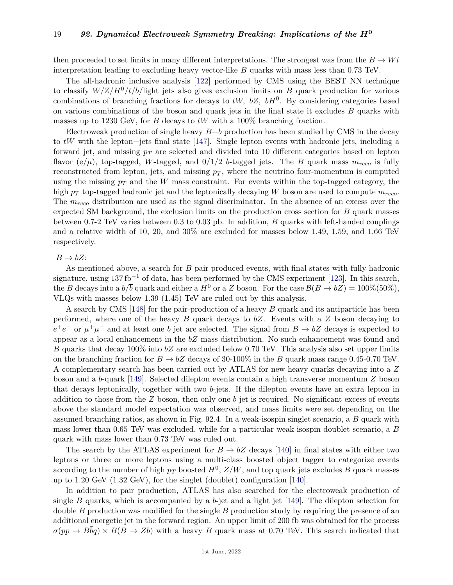then proceeded to set limits in many different interpretations. The strongest was from the  $B \to Wt$ interpretation leading to excluding heavy vector-like *B* quarks with mass less than 0.73 TeV.

The all-hadronic inclusive analysis [\[122\]](#page-26-15) performed by CMS using the BEST NN technique to classify  $W/Z/H^0/t/b$ /light jets also gives exclusion limits on *B* quark production for various combinations of branching fractions for decays to  $tW$ ,  $bZ$ ,  $bH<sup>0</sup>$ . By considering categories based on various combinations of the boson and quark jets in the final state it excludes *B* quarks with masses up to 1230 GeV, for *B* decays to *tW* with a 100% branching fraction.

Electroweak production of single heavy  $B+b$  production has been studied by CMS in the decay to *tW* with the lepton+jets final state [\[147\]](#page-27-6). Single lepton events with hadronic jets, including a forward jet, and missing  $p<sub>T</sub>$  are selected and divided into 10 different categories based on lepton flavor (e/ $\mu$ ), top-tagged, *W*-tagged, and 0/1/2 *b*-tagged jets. The *B* quark mass  $m_{reco}$  is fully reconstructed from lepton, jets, and missing  $p<sub>T</sub>$ , where the neutrino four-momentum is computed using the missing  $p_T$  and the *W* mass constraint. For events within the top-tagged category, the high *p<sup>T</sup>* top-tagged hadronic jet and the leptonically decaying *W* boson are used to compute *mreco*. The *mreco* distribution are used as the signal discriminator. In the absence of an excess over the expected SM background, the exclusion limits on the production cross section for *B* quark masses between 0.7-2 TeV varies between 0.3 to 0.03 pb. In addition, *B* quarks with left-handed couplings and a relative width of 10, 20, and 30% are excluded for masses below 1.49, 1.59, and 1.66 TeV respectively.

### $B \to bZ$ :

As mentioned above, a search for *B* pair produced events, with final states with fully hadronic signature, using  $137\,\mathrm{fb}^{-1}$  of data, has been performed by the CMS experiment [\[123\]](#page-26-16). In this search, the *B* decays into a  $b/\overline{b}$  quark and either a  $H^0$  or a *Z* boson. For the case  $\mathcal{B}(B \to bZ) = 100\%(50\%)$ , VLQs with masses below 1.39 (1.45) TeV are ruled out by this analysis.

A search by CMS [\[148\]](#page-27-7) for the pair-production of a heavy *B* quark and its antiparticle has been performed, where one of the heavy *B* quark decays to *bZ*. Events with a *Z* boson decaying to  $e^+e^-$  or  $\mu^+\mu^-$  and at least one *b* jet are selected. The signal from  $B \to bZ$  decays is expected to appear as a local enhancement in the *bZ* mass distribution. No such enhancement was found and *B* quarks that decay 100% into *bZ* are excluded below 0.70 TeV. This analysis also set upper limits on the branching fraction for  $B \to bZ$  decays of 30-100% in the *B* quark mass range 0.45-0.70 TeV. A complementary search has been carried out by ATLAS for new heavy quarks decaying into a *Z* boson and a *b*-quark [\[149\]](#page-27-8). Selected dilepton events contain a high transverse momentum *Z* boson that decays leptonically, together with two *b*-jets. If the dilepton events have an extra lepton in addition to those from the *Z* boson, then only one *b*-jet is required. No significant excess of events above the standard model expectation was observed, and mass limits were set depending on the assumed branching ratios, as shown in Fig. 92.4. In a weak-isospin singlet scenario, a *B* quark with mass lower than 0.65 TeV was excluded, while for a particular weak-isospin doublet scenario, a *B* quark with mass lower than 0.73 TeV was ruled out.

The search by the ATLAS experiment for  $B \to bZ$  decays [\[140\]](#page-26-33) in final states with either two leptons or three or more leptons using a multi-class boosted object tagger to categorize events according to the number of high  $p_T$  boosted  $H^0$ ,  $Z/W$ , and top quark jets excludes  $B$  quark masses up to 1.20 GeV (1.32 GeV), for the singlet (doublet) configuration [\[140\]](#page-26-33).

In addition to pair production, ATLAS has also searched for the electroweak production of single *B* quarks, which is accompanied by a *b*-jet and a light jet [\[149\]](#page-27-8). The dilepton selection for double *B* production was modified for the single *B* production study by requiring the presence of an additional energetic jet in the forward region. An upper limit of 200 fb was obtained for the process  $\sigma(pp \to B\bar{b}q) \times B(B \to Zb)$  with a heavy *B* quark mass at 0.70 TeV. This search indicated that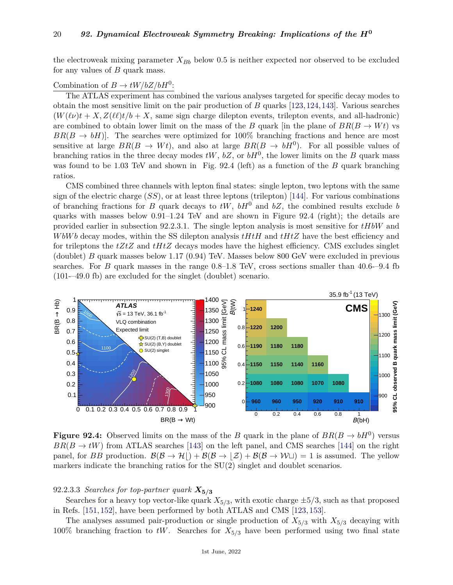the electroweak mixing parameter  $X_{Bb}$  below 0.5 is neither expected nor observed to be excluded for any values of *B* quark mass.

# Combination of  $B \to tW/bZ/bH^0$ :

The ATLAS experiment has combined the various analyses targeted for specific decay modes to obtain the most sensitive limit on the pair production of *B* quarks [\[123,](#page-26-16)[124,](#page-26-17)[143\]](#page-27-2). Various searches  $(W(\ell \nu)t + X, Z(\ell \ell)t/b + X$ , same sign charge dilepton events, trilepton events, and all-hadronic) are combined to obtain lower limit on the mass of the *B* quark [in the plane of  $BR(B \to Wt)$  vs  $BR(B \to bH)$ . The searches were optimized for 100% branching fractions and hence are most sensitive at large  $BR(B \to Wt)$ , and also at large  $BR(B \to bH^0)$ . For all possible values of branching ratios in the three decay modes  $tW$ ,  $bZ$ , or  $bH<sup>0</sup>$ , the lower limits on the *B* quark mass was found to be 1.03 TeV and shown in Fig. 92.4 (left) as a function of the *B* quark branching ratios.

CMS combined three channels with lepton final states: single lepton, two leptons with the same sign of the electric charge  $(SS)$ , or at least three leptons (trilepton) [\[144\]](#page-27-3). For various combinations of branching fractions for *B* quark decays to  $tW$ ,  $bH^0$  and  $bZ$ , the combined results exclude *b* quarks with masses below  $0.91-1.24$  TeV and are shown in Figure 92.4 (right); the details are provided earlier in subsection 92.2.3.1. The single lepton analysis is most sensitive for *tHbW* and *W bW b* decay modes, within the SS dilepton analysis *tHtH* and *tHtZ* have the best efficiency and for trileptons the *tZtZ* and *tHtZ* decays modes have the highest efficiency. CMS excludes singlet (doublet) *B* quark masses below 1.17 (0.94) TeV. Masses below 800 GeV were excluded in previous searches. For *B* quark masses in the range 0.8–1.8 TeV, cross sections smaller than 40.6-–9.4 fb (101-–49.0 fb) are excluded for the singlet (doublet) scenario.



**Figure 92.4:** Observed limits on the mass of the *B* quark in the plane of  $BR(B \to bH^0)$  versus  $BR(B \to tW)$  from ATLAS searches [\[143\]](#page-27-2) on the left panel, and CMS searches [\[144\]](#page-27-3) on the right panel, for *BB* production.  $\mathcal{B}(\mathcal{B} \to \mathcal{H}) + \mathcal{B}(\mathcal{B} \to \mathcal{Z}) + \mathcal{B}(\mathcal{B} \to \mathcal{W} \sqcup) = 1$  is assumed. The yellow markers indicate the branching ratios for the SU(2) singlet and doublet scenarios.

### 92.2.3.3 *Searches for top-partner quark*  $X_{5/3}$

Searches for a heavy top vector-like quark  $X_{5/3}$ , with exotic charge  $\pm 5/3$ , such as that proposed in Refs. [\[151,](#page-27-9) [152\]](#page-27-10), have been performed by both ATLAS and CMS [\[123,](#page-26-16) [153\]](#page-27-11).

The analyses assumed pair-production or single production of  $X_{5/3}$  with  $X_{5/3}$  decaying with 100% branching fraction to  $tW$ . Searches for  $X_{5/3}$  have been performed using two final state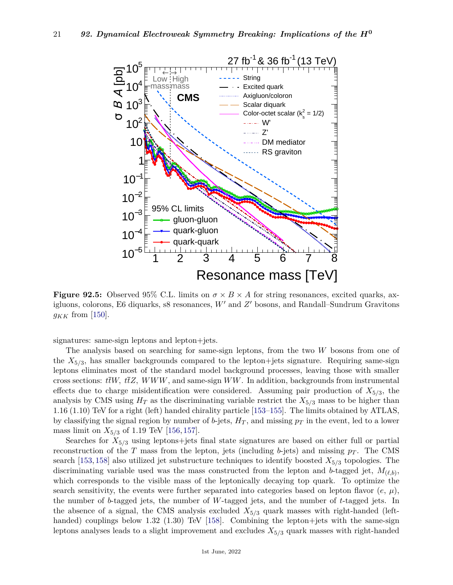

**Figure 92.5:** Observed 95% C.L. limits on  $\sigma \times B \times A$  for string resonances, excited quarks, axigluons, colorons, E6 diquarks, s8 resonances, W' and Z' bosons, and Randall–Sundrum Gravitons  $g_{KK}$  from [\[150\]](#page-27-12).

signatures: same-sign leptons and lepton+jets.

The analysis based on searching for same-sign leptons, from the two *W* bosons from one of the *X*5*/*<sup>3</sup> , has smaller backgrounds compared to the lepton+jets signature. Requiring same-sign leptons eliminates most of the standard model background processes, leaving those with smaller cross sections: *ttW, ttZ, WWW*, and same-sign *WW*. In addition, backgrounds from instrumental effects due to charge misidentification were considered. Assuming pair production of *X*5*/*<sup>3</sup> , the analysis by CMS using  $H_T$  as the discriminating variable restrict the  $X_{5/3}$  mass to be higher than 1.16 (1.10) TeV for a right (left) handed chirality particle [\[153–](#page-27-11)[155\]](#page-27-13). The limits obtained by ATLAS, by classifying the signal region by number of *b*-jets, *H<sup>T</sup>* , and missing *p<sup>T</sup>* in the event, led to a lower mass limit on *X*5*/*<sup>3</sup> of 1.19 TeV [\[156,](#page-27-14) [157\]](#page-27-15).

Searches for  $X_{5/3}$  using leptons+jets final state signatures are based on either full or partial reconstruction of the *T* mass from the lepton, jets (including *b*-jets) and missing  $p_T$ . The CMS search [\[153,](#page-27-11) [158\]](#page-27-16) also utilized jet substructure techniques to identify boosted *X*5*/*<sup>3</sup> topologies. The discriminating variable used was the mass constructed from the lepton and *b*-tagged jet,  $M_{(\ell,b)}$ , which corresponds to the visible mass of the leptonically decaying top quark. To optimize the search sensitivity, the events were further separated into categories based on lepton flavor  $(e, \mu)$ , the number of *b*-tagged jets, the number of *W*-tagged jets, and the number of *t*-tagged jets. In the absence of a signal, the CMS analysis excluded  $X_{5/3}$  quark masses with right-handed (left-handed) couplings below 1.32 (1.30) TeV [\[158\]](#page-27-16). Combining the lepton+jets with the same-sign leptons analyses leads to a slight improvement and excludes  $X_{5/3}$  quark masses with right-handed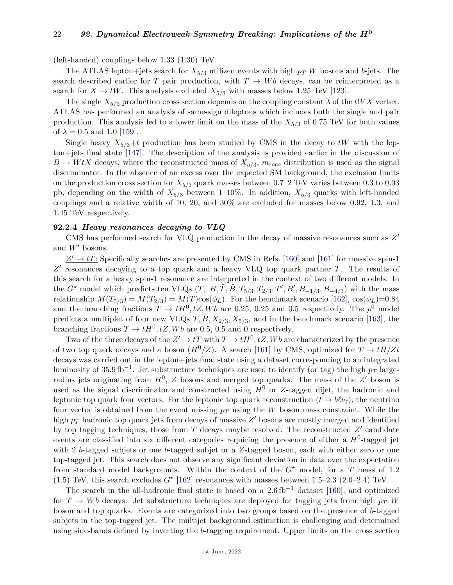(left-handed) couplings below 1.33 (1.30) TeV.

The ATLAS lepton+jets search for  $X_{5/3}$  utilized events with high  $p_T$  *W* bosons and *b*-jets. The search described earlier for *T* pair production, with  $T \rightarrow Wb$  decays, can be reinterpreted as a search for  $X \to tW$ . This analysis excluded  $X_{5/3}$  with masses below 1.25 TeV [\[123\]](#page-26-16).

The single  $X_{5/3}$  production cross section depends on the coupling constant  $\lambda$  of the *tWX* vertex. ATLAS has performed an analysis of same-sign dileptons which includes both the single and pair production. This analysis led to a lower limit on the mass of the *X*5*/*<sup>3</sup> of 0.75 TeV for both values of  $\lambda = 0.5$  and 1.0 [\[159\]](#page-27-17).

Single heavy  $X_{5/3}$ +*t* production has been studied by CMS in the decay to *tW* with the lepton+jets final state [\[147\]](#page-27-6). The description of the analysis is provided earlier in the discussion of  $B \to W t X$  decays, where the reconstructed mass of  $X_{5/3}$ ,  $m_{reco}$  distribution is used as the signal discriminator. In the absence of an excess over the expected SM background, the exclusion limits on the production cross section for  $X_{5/3}$  quark masses between 0.7–2 TeV varies between 0.3 to 0.03 pb, depending on the width of  $X_{5/3}$  between 1–10%. In addition,  $X_{5/3}$  quarks with left-handed couplings and a relative width of 10, 20, and 30% are excluded for masses below 0.92, 1.3, and 1.45 TeV respectively.

### **92.2.4** *Heavy resonances decaying to VLQ*

CMS has performed search for VLQ production in the decay of massive resonances such as  $Z'$ and  $W'$  bosons.

 $Z' \rightarrow tT$ : Specifically searches are presented by CMS in Refs. [\[160\]](#page-27-18) and [\[161\]](#page-27-19) for massive spin-1 Z' resonances decaying to a top quark and a heavy VLQ top quark partner *T*. The results of this search for a heavy spin-1 resonance are interpreted in the context of two different models. In the  $G^*$  model which predicts ten VLQs  $(T, B, \tilde{T}, \tilde{B}, T_{5/3}, T_{2/3}, T', B', B_{-1/3}, B_{-4/3})$  with the mass relationship  $M(T_{5/3}) = M(T_{2/3}) = M(T) \cos(\phi_L)$ . For the benchmark scenario [\[162\]](#page-27-20),  $\cos(\phi_L) = 0.84$ and the branching fractions  $T \to tH^0, tZ, Wb$  are 0.25, 0.25 and 0.5 respectively. The  $\rho^0$  model predicts a multiplet of four new VLQs  $T, B, X_{2/3}, X_{5/3}$ , and in the benchmark scenario [\[163\]](#page-27-21), the branching fractions  $T \to tH^0, tZ, Wb$  are 0.5, 0.5 and 0 respectively.

Two of the three decays of the  $Z' \to tT$  with  $T \to tH^0, tZ, Wb$  are characterized by the presence of two top quark decays and a boson  $(H^0/Z)$ . A search [\[161\]](#page-27-19) by CMS, optimized for  $T \to tH/Zt$ decays was carried out in the lepton+jets final state using a dataset corresponding to an integrated luminosity of 35.9 fb−<sup>1</sup> . Jet substructure techniques are used to identify (or tag) the high *p<sup>T</sup>* largeradius jets originating from  $H^0$ ,  $Z$  bosons and merged top quarks. The mass of the  $Z'$  boson is used as the signal discriminator and constructed using  $H^0$  or *Z*-tagged dijet, the hadronic and leptonic top quark four vectors. For the leptonic top quark reconstruction  $(t \to b\ell\nu_\ell)$ , the neutrino four vector is obtained from the event missing *p<sup>T</sup>* using the *W* boson mass constraint. While the high  $p_T$  hadronic top quark jets from decays of massive  $Z'$  bosons are mostly merged and identified by top tagging techniques, those from  $T$  decays maybe resolved. The reconstructed  $Z'$  candidate events are classified into six different categories requiring the presence of either a *H*<sup>0</sup> -tagged jet with 2 *b*-tagged subjets or one *b*-tagged subjet or a *Z*-tagged boson, each with either zero or one top-tagged jet. This search does not observe any significant deviation in data over the expectation from standard model backgrounds. Within the context of the *G?* model, for a *T* mass of 1.2 (1.5) TeV, this search excludes  $G^*$  [\[162\]](#page-27-20) resonances with masses between 1.5–2.3 (2.0–2.4) TeV.

The search in the all-hadronic final state is based on a  $2.6 \text{ fb}^{-1}$  dataset [\[160\]](#page-27-18), and optimized for  $T \rightarrow Wb$  decays. Jet substructure techniques are deployed for tagging jets from high  $p_T W$ boson and top quarks. Events are categorized into two groups based on the presence of *b*-tagged subjets in the top-tagged jet. The multijet background estimation is challenging and determined using side-bands defined by inverting the *b*-tagging requirement. Upper limits on the cross section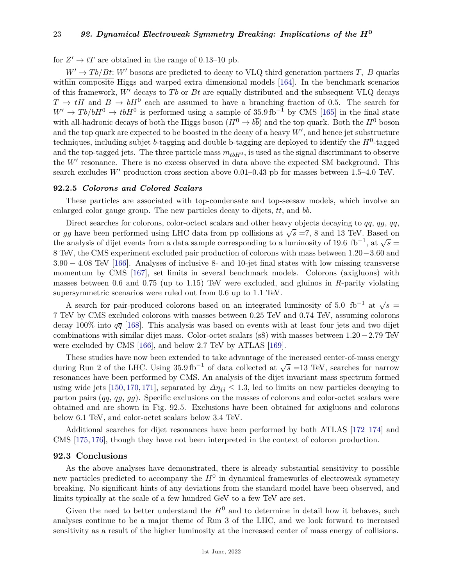for  $Z' \to tT$  are obtained in the range of 0.13–10 pb.

 $W' \rightarrow Tb/Bt$ : *W*<sup>0</sup> bosons are predicted to decay to VLQ third generation partners *T*, *B* quarks within composite Higgs and warped extra dimensional models [\[164\]](#page-27-22). In the benchmark scenarios of this framework,  $W'$  decays to *Tb* or *Bt* are equally distributed and the subsequent VLQ decays  $T \to tH$  and  $B \to bH^0$  each are assumed to have a branching fraction of 0.5. The search for  $W' \to Tb/bH^0 \to tbH^0$  is performed using a sample of 35.9 fb<sup>-1</sup> by CMS [\[165\]](#page-27-23) in the final state with all-hadronic decays of both the Higgs boson  $(H^0 \to b\bar{b})$  and the top quark. Both the  $H^0$  boson and the top quark are expected to be boosted in the decay of a heavy  $W'$ , and hence jet substructure techniques, including subjet *b*-tagging and double b-tagging are deployed to identify the *H*<sup>0</sup> -tagged and the top-tagged jets. The three particle mass  $m_{tbH0}$ , is used as the signal discriminant to observe the  $W'$  resonance. There is no excess observed in data above the expected SM background. This search excludes  $W'$  production cross section above  $0.01-0.43$  pb for masses between 1.5–4.0 TeV.

#### **92.2.5** *Colorons and Colored Scalars*

These particles are associated with top-condensate and top-seesaw models, which involve an enlarged color gauge group. The new particles decay to dijets,  $t\bar{t}$ , and  $b\bar{b}$ .

Direct searches for colorons, color-octect scalars and other heavy objects decaying to  $q\bar{q}$ ,  $q\bar{q}$ , *qq*, Direct searches for colorons, color-octect scalars and other heavy objects decaying to  $qq$ ,  $q\bar{q}$ ,  $q\bar{q}$ , or  $gg$  have been performed using LHC data from pp collisions at  $\sqrt{s} = 7$ , 8 and 13 TeV. Based on the analysis of dijet events from a data sample corresponding to a luminosity of 19.6 fb<sup>-1</sup>, at  $\sqrt{s} =$ 8 TeV, the CMS experiment excluded pair production of colorons with mass between 1*.*20−3*.*60 and 3*.*90 − 4*.*08 TeV [\[166\]](#page-27-24). Analyses of inclusive 8- and 10-jet final states with low missing transverse momentum by CMS [\[167\]](#page-27-25), set limits in several benchmark models. Colorons (axigluons) with masses between 0.6 and 0.75 (up to 1.15) TeV were excluded, and gluinos in *R*-parity violating supersymmetric scenarios were ruled out from 0.6 up to 1.1 TeV.

A search for pair-produced colorons based on an integrated luminosity of 5.0 fb<sup>-1</sup> at  $\sqrt{s}$  = 7 TeV by CMS excluded colorons with masses between 0.25 TeV and 0.74 TeV, assuming colorons decay 100% into  $q\bar{q}$  [\[168\]](#page-27-26). This analysis was based on events with at least four jets and two dijet combinations with similar dijet mass. Color-octet scalars (s8) with masses between 1*.*20−2*.*79 TeV were excluded by CMS [\[166\]](#page-27-24), and below 2.7 TeV by ATLAS [\[169\]](#page-27-27).

These studies have now been extended to take advantage of the increased center-of-mass energy These staties have now been extended to take advantage of the increased center-or-mass energy during Run 2 of the LHC. Using  $35.9 \text{ fb}^{-1}$  of data collected at  $\sqrt{s}$  =13 TeV, searches for narrow resonances have been performed by CMS. An analysis of the dijet invariant mass spectrum formed using wide jets [\[150,](#page-27-12) [170,](#page-27-28) [171\]](#page-27-29), separated by  $\Delta \eta_{jj} \leq 1.3$ , led to limits on new particles decaying to parton pairs (*qq*, *qg*, *gg*). Specific exclusions on the masses of colorons and color-octet scalars were obtained and are shown in Fig. 92.5. Exclusions have been obtained for axigluons and colorons below 6.1 TeV, and color-octet scalars below 3.4 TeV.

Additional searches for dijet resonances have been performed by both ATLAS [\[172–](#page-27-30)[174\]](#page-27-31) and CMS [\[175,](#page-27-32) [176\]](#page-27-33), though they have not been interpreted in the context of coloron production.

#### **92.3 Conclusions**

As the above analyses have demonstrated, there is already substantial sensitivity to possible new particles predicted to accompany the  $H^0$  in dynamical frameworks of electroweak symmetry breaking. No significant hints of any deviations from the standard model have been observed, and limits typically at the scale of a few hundred GeV to a few TeV are set.

Given the need to better understand the  $H^0$  and to determine in detail how it behaves, such analyses continue to be a major theme of Run 3 of the LHC, and we look forward to increased sensitivity as a result of the higher luminosity at the increased center of mass energy of collisions.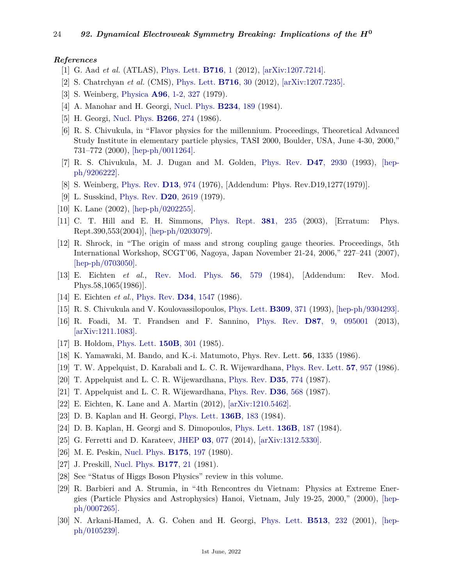### <span id="page-23-0"></span>*References*

- [1] G. Aad *et al.* (ATLAS), [Phys. Lett.](http://doi.org/10.1016/j.physletb.2012.08.020) **[B716](http://doi.org/10.1016/j.physletb.2012.08.020)**, 1 (2012), [\[arXiv:1207.7214\].](https://arxiv.org/abs/1207.7214)
- <span id="page-23-1"></span>[2] S. Chatrchyan *et al.* (CMS), [Phys. Lett.](http://doi.org/10.1016/j.physletb.2012.08.021) **[B716](http://doi.org/10.1016/j.physletb.2012.08.021)**, 30 (2012), [\[arXiv:1207.7235\].](https://arxiv.org/abs/1207.7235)
- <span id="page-23-10"></span>[3] S. Weinberg, [Physica](http://doi.org/10.1016/0378-4371(79)90223-1) **A96**[, 1-2, 327](http://doi.org/10.1016/0378-4371(79)90223-1) (1979).
- <span id="page-23-11"></span>[4] A. Manohar and H. Georgi, [Nucl. Phys.](http://doi.org/10.1016/0550-3213(84)90231-1) **[B234](http://doi.org/10.1016/0550-3213(84)90231-1)**, 189 (1984).
- <span id="page-23-12"></span>[5] H. Georgi, [Nucl. Phys.](http://doi.org/10.1016/0550-3213(86)90092-1) **[B266](http://doi.org/10.1016/0550-3213(86)90092-1)**, 274 (1986).
- <span id="page-23-13"></span>[6] R. S. Chivukula, in "Flavor physics for the millennium. Proceedings, Theoretical Advanced Study Institute in elementary particle physics, TASI 2000, Boulder, USA, June 4-30, 2000," 731–772 (2000), [\[hep-ph/0011264\].](https://arxiv.org/abs/hep-ph/0011264)
- <span id="page-23-2"></span>[7] R. S. Chivukula, M. J. Dugan and M. Golden, [Phys. Rev.](http://doi.org/10.1103/PhysRevD.47.2930) **D47**[, 2930](http://doi.org/10.1103/PhysRevD.47.2930) (1993), [\[hep](https://arxiv.org/abs/hep-ph/9206222)[ph/9206222\].](https://arxiv.org/abs/hep-ph/9206222)
- [8] S. Weinberg, [Phys. Rev.](http://doi.org/10.1103/PhysRevD.19.1277) **D13**[, 974](http://doi.org/10.1103/PhysRevD.19.1277) (1976), [Addendum: Phys. Rev.D19,1277(1979)].
- <span id="page-23-3"></span>[9] L. Susskind, [Phys. Rev.](http://doi.org/10.1103/PhysRevD.20.2619) **D20**[, 2619](http://doi.org/10.1103/PhysRevD.20.2619) (1979).
- <span id="page-23-14"></span>[10] K. Lane (2002), [\[hep-ph/0202255\].](https://arxiv.org/abs/hep-ph/0202255)
- [11] C. T. Hill and E. H. Simmons, [Phys. Rept.](http://doi.org/10.1016/S0370-1573(03)00140-6) **381**[, 235](http://doi.org/10.1016/S0370-1573(03)00140-6) (2003), [Erratum: Phys. Rept.390,553(2004)], [\[hep-ph/0203079\].](https://arxiv.org/abs/hep-ph/0203079)
- <span id="page-23-15"></span>[12] R. Shrock, in "The origin of mass and strong coupling gauge theories. Proceedings, 5th International Workshop, SCGT'06, Nagoya, Japan November 21-24, 2006," 227–241 (2007), [\[hep-ph/0703050\].](https://arxiv.org/abs/hep-ph/0703050)
- <span id="page-23-4"></span>[13] E. Eichten *et al.*, [Rev. Mod. Phys.](http://doi.org/10.1103/RevModPhys.56.579) **56**[, 579](http://doi.org/10.1103/RevModPhys.56.579) (1984), [Addendum: Rev. Mod. Phys.58,1065(1986)].
- <span id="page-23-5"></span>[14] E. Eichten *et al.*, [Phys. Rev.](http://doi.org/10.1103/PhysRevD.34.1547) **D34**[, 1547](http://doi.org/10.1103/PhysRevD.34.1547) (1986).
- <span id="page-23-6"></span>[15] R. S. Chivukula and V. Koulovassilopoulos, [Phys. Lett.](http://doi.org/10.1016/0370-2693(93)90947-G) **[B309](http://doi.org/10.1016/0370-2693(93)90947-G)**, 371 (1993), [\[hep-ph/9304293\].](https://arxiv.org/abs/hep-ph/9304293)
- <span id="page-23-7"></span>[16] R. Foadi, M. T. Frandsen and F. Sannino, [Phys. Rev.](http://doi.org/10.1103/PhysRevD.87.095001) **D87**[, 9, 095001](http://doi.org/10.1103/PhysRevD.87.095001) (2013), [\[arXiv:1211.1083\].](https://arxiv.org/abs/1211.1083)
- <span id="page-23-8"></span>[17] B. Holdom, [Phys. Lett.](http://doi.org/10.1016/0370-2693(85)91015-9) **[150B](http://doi.org/10.1016/0370-2693(85)91015-9)**, 301 (1985).
- [18] K. Yamawaki, M. Bando, and K.-i. Matumoto, Phys. Rev. Lett. **56**, 1335 (1986).
- [19] T. W. Appelquist, D. Karabali and L. C. R. Wijewardhana, [Phys. Rev. Lett.](http://doi.org/10.1103/PhysRevLett.57.957) **57**[, 957](http://doi.org/10.1103/PhysRevLett.57.957) (1986).
- [20] T. Appelquist and L. C. R. Wijewardhana, [Phys. Rev.](http://doi.org/10.1103/PhysRevD.35.774) **D35**[, 774](http://doi.org/10.1103/PhysRevD.35.774) (1987).
- <span id="page-23-23"></span><span id="page-23-9"></span>[21] T. Appelquist and L. C. R. Wijewardhana, [Phys. Rev.](http://doi.org/10.1103/PhysRevD.36.568) **D36**[, 568](http://doi.org/10.1103/PhysRevD.36.568) (1987).
- [22] E. Eichten, K. Lane and A. Martin (2012), [\[arXiv:1210.5462\].](https://arxiv.org/abs/1210.5462)
- <span id="page-23-16"></span>[23] D. B. Kaplan and H. Georgi, [Phys. Lett.](http://doi.org/10.1016/0370-2693(84)91177-8) **[136B](http://doi.org/10.1016/0370-2693(84)91177-8)**, 183 (1984).
- [24] D. B. Kaplan, H. Georgi and S. Dimopoulos, [Phys. Lett.](http://doi.org/10.1016/0370-2693(84)91178-X) **[136B](http://doi.org/10.1016/0370-2693(84)91178-X)**, 187 (1984).
- <span id="page-23-17"></span>[25] G. Ferretti and D. Karateev, [JHEP](http://doi.org/10.1007/JHEP03(2014)077) **03**[, 077](http://doi.org/10.1007/JHEP03(2014)077) (2014), [\[arXiv:1312.5330\].](https://arxiv.org/abs/1312.5330)
- <span id="page-23-18"></span>[26] M. E. Peskin, [Nucl. Phys.](http://doi.org/10.1016/0550-3213(80)90051-6) **[B175](http://doi.org/10.1016/0550-3213(80)90051-6)**, 197 (1980).
- <span id="page-23-19"></span>[27] J. Preskill, [Nucl. Phys.](http://doi.org/10.1016/0550-3213(81)90265-0) **[B177](http://doi.org/10.1016/0550-3213(81)90265-0)**, 21 (1981).
- <span id="page-23-20"></span>[28] See "Status of Higgs Boson Physics" review in this volume.
- <span id="page-23-21"></span>[29] R. Barbieri and A. Strumia, in "4th Rencontres du Vietnam: Physics at Extreme Energies (Particle Physics and Astrophysics) Hanoi, Vietnam, July 19-25, 2000," (2000), [\[hep](https://arxiv.org/abs/hep-ph/0007265)[ph/0007265\].](https://arxiv.org/abs/hep-ph/0007265)
- <span id="page-23-22"></span>[30] N. Arkani-Hamed, A. G. Cohen and H. Georgi, [Phys. Lett.](http://doi.org/10.1016/S0370-2693(01)00741-9) **[B513](http://doi.org/10.1016/S0370-2693(01)00741-9)**, 232 (2001), [\[hep](https://arxiv.org/abs/hep-ph/0105239)[ph/0105239\].](https://arxiv.org/abs/hep-ph/0105239)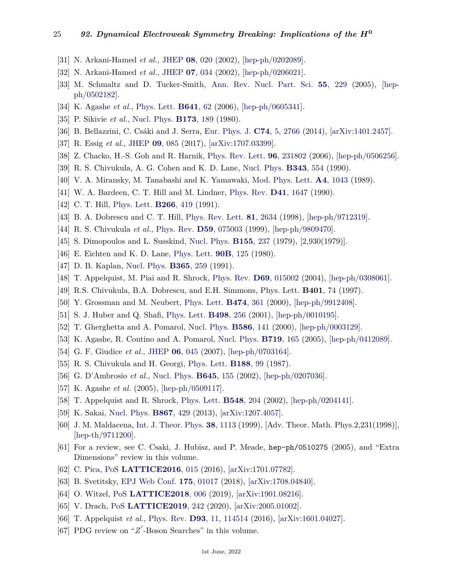- [31] N. Arkani-Hamed *et al.*, [JHEP](http://doi.org/10.1088/1126-6708/2002/08/020) **08**[, 020](http://doi.org/10.1088/1126-6708/2002/08/020) (2002), [\[hep-ph/0202089\].](https://arxiv.org/abs/hep-ph/0202089)
- [32] N. Arkani-Hamed *et al.*, [JHEP](http://doi.org/10.1088/1126-6708/2002/07/034) **07**[, 034](http://doi.org/10.1088/1126-6708/2002/07/034) (2002), [\[hep-ph/0206021\].](https://arxiv.org/abs/hep-ph/0206021)
- <span id="page-24-0"></span>[33] M. Schmaltz and D. Tucker-Smith, [Ann. Rev. Nucl. Part. Sci.](http://doi.org/10.1146/annurev.nucl.55.090704.151502) **55**[, 229](http://doi.org/10.1146/annurev.nucl.55.090704.151502) (2005), [\[hep](https://arxiv.org/abs/hep-ph/0502182)[ph/0502182\].](https://arxiv.org/abs/hep-ph/0502182)
- <span id="page-24-1"></span>[34] K. Agashe *et al.*, [Phys. Lett.](http://doi.org/10.1016/j.physletb.2006.08.005) **[B641](http://doi.org/10.1016/j.physletb.2006.08.005)**, 62 (2006), [\[hep-ph/0605341\].](https://arxiv.org/abs/hep-ph/0605341)
- <span id="page-24-2"></span>[35] P. Sikivie *et al.*, [Nucl. Phys.](http://doi.org/10.1016/0550-3213(80)90214-X) **[B173](http://doi.org/10.1016/0550-3213(80)90214-X)**, 189 (1980).
- <span id="page-24-3"></span>[36] B. Bellazzini, C. Csáki and J. Serra, [Eur. Phys. J.](http://doi.org/10.1140/epjc/s10052-014-2766-x) **C74**[, 5, 2766](http://doi.org/10.1140/epjc/s10052-014-2766-x) (2014), [\[arXiv:1401.2457\].](https://arxiv.org/abs/1401.2457)
- <span id="page-24-4"></span>[37] R. Essig *et al.*, [JHEP](http://doi.org/10.1007/JHEP09(2017)085) **09**[, 085](http://doi.org/10.1007/JHEP09(2017)085) (2017), [\[arXiv:1707.03399\].](https://arxiv.org/abs/1707.03399)
- <span id="page-24-5"></span>[38] Z. Chacko, H.-S. Goh and R. Harnik, [Phys. Rev. Lett.](http://doi.org/10.1103/PhysRevLett.96.231802) **96**[, 231802](http://doi.org/10.1103/PhysRevLett.96.231802) (2006), [\[hep-ph/0506256\].](https://arxiv.org/abs/hep-ph/0506256)
- <span id="page-24-6"></span>[39] R. S. Chivukula, A. G. Cohen and K. D. Lane, [Nucl. Phys.](http://doi.org/10.1016/0550-3213(90)90580-7) **[B343](http://doi.org/10.1016/0550-3213(90)90580-7)**, 554 (1990).
- <span id="page-24-7"></span>[40] V. A. Miransky, M. Tanabashi and K. Yamawaki, [Mod. Phys. Lett.](http://doi.org/10.1142/S0217732389001210) **A4**[, 1043](http://doi.org/10.1142/S0217732389001210) (1989).
- [41] W. A. Bardeen, C. T. Hill and M. Lindner, [Phys. Rev.](http://doi.org/10.1103/PhysRevD.41.1647) **D41**[, 1647](http://doi.org/10.1103/PhysRevD.41.1647) (1990).
- [42] C. T. Hill, [Phys. Lett.](http://doi.org/10.1016/0370-2693(91)91061-Y) **[B266](http://doi.org/10.1016/0370-2693(91)91061-Y)**, 419 (1991).
- [43] B. A. Dobrescu and C. T. Hill, [Phys. Rev. Lett.](http://doi.org/10.1103/PhysRevLett.81.2634) **81**[, 2634](http://doi.org/10.1103/PhysRevLett.81.2634) (1998), [\[hep-ph/9712319\].](https://arxiv.org/abs/hep-ph/9712319)
- <span id="page-24-8"></span>[44] R. S. Chivukula *et al.*, [Phys. Rev.](http://doi.org/10.1103/PhysRevD.59.075003) **D59**[, 075003](http://doi.org/10.1103/PhysRevD.59.075003) (1999), [\[hep-ph/9809470\].](https://arxiv.org/abs/hep-ph/9809470)
- <span id="page-24-9"></span>[45] S. Dimopoulos and L. Susskind, [Nucl. Phys.](http://doi.org/10.1016/0550-3213(79)90364-X) **[B155](http://doi.org/10.1016/0550-3213(79)90364-X)**, 237 (1979), [2,930(1979)].
- <span id="page-24-10"></span>[46] E. Eichten and K. D. Lane, [Phys. Lett.](http://doi.org/10.1016/0370-2693(80)90065-9) **90B**[, 125](http://doi.org/10.1016/0370-2693(80)90065-9) (1980).
- <span id="page-24-11"></span>[47] D. B. Kaplan, [Nucl. Phys.](http://doi.org/10.1016/S0550-3213(05)80021-5) **[B365](http://doi.org/10.1016/S0550-3213(05)80021-5)**, 259 (1991).
- <span id="page-24-13"></span><span id="page-24-12"></span>[48] T. Appelquist, M. Piai and R. Shrock, [Phys. Rev.](http://doi.org/10.1103/PhysRevD.69.015002) **D69**[, 015002](http://doi.org/10.1103/PhysRevD.69.015002) (2004), [\[hep-ph/0308061\].](https://arxiv.org/abs/hep-ph/0308061)
- [49] R.S. Chivukula, B.A. Dobrescu, and E.H. Simmons, Phys. Lett. **B401**, 74 (1997).
- <span id="page-24-14"></span>[50] Y. Grossman and M. Neubert, [Phys. Lett.](http://doi.org/10.1016/S0370-2693(00)00054-X) **[B474](http://doi.org/10.1016/S0370-2693(00)00054-X)**, 361 (2000), [\[hep-ph/9912408\].](https://arxiv.org/abs/hep-ph/9912408)
- [51] S. J. Huber and Q. Shafi, [Phys. Lett.](http://doi.org/10.1016/S0370-2693(00)01399-X) **[B498](http://doi.org/10.1016/S0370-2693(00)01399-X)**, 256 (2001), [\[hep-ph/0010195\].](https://arxiv.org/abs/hep-ph/0010195)
- [52] T. Gherghetta and A. Pomarol, [Nucl. Phys.](http://doi.org/10.1016/S0550-3213(00)00392-8) **[B586](http://doi.org/10.1016/S0550-3213(00)00392-8)**, 141 (2000), [\[hep-ph/0003129\].](https://arxiv.org/abs/hep-ph/0003129)
- [53] K. Agashe, R. Contino and A. Pomarol, [Nucl. Phys.](http://doi.org/10.1016/j.nuclphysb.2005.04.035) **[B719](http://doi.org/10.1016/j.nuclphysb.2005.04.035)**, 165 (2005), [\[hep-ph/0412089\].](https://arxiv.org/abs/hep-ph/0412089)
- <span id="page-24-15"></span>[54] G. F. Giudice *et al.*, [JHEP](http://doi.org/10.1088/1126-6708/2007/06/045) **06**[, 045](http://doi.org/10.1088/1126-6708/2007/06/045) (2007), [\[hep-ph/0703164\].](https://arxiv.org/abs/hep-ph/0703164)
- <span id="page-24-16"></span>[55] R. S. Chivukula and H. Georgi, [Phys. Lett.](http://doi.org/10.1016/0370-2693(87)90713-1) **[B188](http://doi.org/10.1016/0370-2693(87)90713-1)**, 99 (1987).
- <span id="page-24-17"></span>[56] G. D'Ambrosio *et al.*, [Nucl. Phys.](http://doi.org/10.1016/S0550-3213(02)00836-2) **[B645](http://doi.org/10.1016/S0550-3213(02)00836-2)**, 155 (2002), [\[hep-ph/0207036\].](https://arxiv.org/abs/hep-ph/0207036)
- <span id="page-24-18"></span>[57] K. Agashe *et al.* (2005), [\[hep-ph/0509117\].](https://arxiv.org/abs/hep-ph/0509117)
- <span id="page-24-20"></span><span id="page-24-19"></span>[58] T. Appelquist and R. Shrock, [Phys. Lett.](http://doi.org/10.1016/S0370-2693(02)02854-X) **[B548](http://doi.org/10.1016/S0370-2693(02)02854-X)**, 204 (2002), [\[hep-ph/0204141\].](https://arxiv.org/abs/hep-ph/0204141)
- [59] K. Sakai, [Nucl. Phys.](http://doi.org/10.1016/j.nuclphysb.2012.09.019) **[B867](http://doi.org/10.1016/j.nuclphysb.2012.09.019)**, 429 (2013), [\[arXiv:1207.4057\].](https://arxiv.org/abs/1207.4057)
- <span id="page-24-21"></span>[60] J. M. Maldacena, [Int. J. Theor. Phys.](http://doi.org/10.1023/A:1026654312961) **38**[, 1113](http://doi.org/10.1023/A:1026654312961) (1999), [Adv. Theor. Math. Phys.2,231(1998)], [\[hep-th/9711200\].](https://arxiv.org/abs/hep-th/9711200)
- <span id="page-24-22"></span>[61] For a review, see C. Csaki, J. Hubisz, and P. Meade, hep-ph/0510275 (2005), and "Extra Dimensions" review in this volume.
- <span id="page-24-23"></span>[62] C. Pica, [PoS](http://doi.org/10.22323/1.256.0015) **[LATTICE2016](http://doi.org/10.22323/1.256.0015)**, 015 (2016), [\[arXiv:1701.07782\].](https://arxiv.org/abs/1701.07782)
- [63] B. Svetitsky, [EPJ Web Conf.](http://doi.org/10.1051/epjconf/201817501017) **175**[, 01017](http://doi.org/10.1051/epjconf/201817501017) (2018), [\[arXiv:1708.04840\].](https://arxiv.org/abs/1708.04840)
- [64] O. Witzel, [PoS](http://doi.org/10.22323/1.334.0006) **[LATTICE2018](http://doi.org/10.22323/1.334.0006)**, 006 (2019), [\[arXiv:1901.08216\].](https://arxiv.org/abs/1901.08216)
- <span id="page-24-24"></span>[65] V. Drach, [PoS](http://doi.org/10.22323/1.363.0242) **[LATTICE2019](http://doi.org/10.22323/1.363.0242)**, 242 (2020), [\[arXiv:2005.01002\].](https://arxiv.org/abs/2005.01002)
- <span id="page-24-25"></span>[66] T. Appelquist *et al.*, [Phys. Rev.](http://doi.org/10.1103/PhysRevD.93.114514) **D93**[, 11, 114514](http://doi.org/10.1103/PhysRevD.93.114514) (2016), [\[arXiv:1601.04027\].](https://arxiv.org/abs/1601.04027)
- <span id="page-24-26"></span>[67] PDG review on " $Z'$ -Boson Searches" in this volume.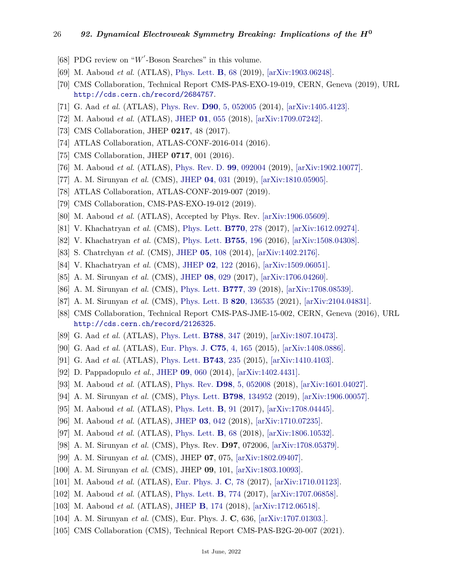- <span id="page-25-0"></span>[68] PDG review on " $W'$ -Boson Searches" in this volume.
- <span id="page-25-1"></span>[69] M. Aaboud *et al.* (ATLAS), [Phys. Lett.](http://doi.org/10.1016/j.physletb.2019.07.016) **B**[, 68](http://doi.org/10.1016/j.physletb.2019.07.016) (2019), [\[arXiv:1903.06248\].](https://arxiv.org/abs/1903.06248)
- <span id="page-25-2"></span>[70] CMS Collaboration, Technical Report CMS-PAS-EXO-19-019, CERN, Geneva (2019), URL <http://cds.cern.ch/record/2684757>.
- <span id="page-25-3"></span>[71] G. Aad *et al.* (ATLAS), [Phys. Rev.](http://doi.org/10.1103/PhysRevD.90.052005) **D90**[, 5, 052005](http://doi.org/10.1103/PhysRevD.90.052005) (2014), [\[arXiv:1405.4123\].](https://arxiv.org/abs/1405.4123)
- <span id="page-25-4"></span>[72] M. Aaboud *et al.* (ATLAS), [JHEP](http://doi.org/10.1007/JHEP01(2018)055) **01**[, 055](http://doi.org/10.1007/JHEP01(2018)055) (2018), [\[arXiv:1709.07242\].](https://arxiv.org/abs/1709.07242)
- <span id="page-25-5"></span>[73] CMS Collaboration, JHEP **0217**, 48 (2017).
- <span id="page-25-6"></span>[74] ATLAS Collaboration, ATLAS-CONF-2016-014 (2016).
- <span id="page-25-7"></span>[75] CMS Collaboration, JHEP **0717**, 001 (2016).
- <span id="page-25-8"></span>[76] M. Aaboud *et al.* (ATLAS), [Phys. Rev. D.](http://doi.org/10.1103/PhysRevD.99.092004) **99**[, 092004](http://doi.org/10.1103/PhysRevD.99.092004) (2019), [\[arXiv:1902.10077\].](https://arxiv.org/abs/1902.10077)
- <span id="page-25-9"></span>[77] A. M. Sirunyan *et al.* (CMS), [JHEP](http://doi.org/10.1007/JHEP04(2019)031) **04**[, 031](http://doi.org/10.1007/JHEP04(2019)031) (2019), [\[arXiv:1810.05905\].](https://arxiv.org/abs/1810.05905)
- <span id="page-25-10"></span>[78] ATLAS Collaboration, ATLAS-CONF-2019-007 (2019).
- <span id="page-25-11"></span>[79] CMS Collaboration, CMS-PAS-EXO-19-012 (2019).
- <span id="page-25-12"></span>[80] M. Aaboud *et al.* (ATLAS), Accepted by Phys. Rev. [\[arXiv:1906.05609\].](https://arxiv.org/abs/1906.05609)
- <span id="page-25-13"></span>[81] V. Khachatryan *et al.* (CMS), [Phys. Lett.](http://doi.org/10.1016/j.physletb.2017.04.043) **[B770](http://doi.org/10.1016/j.physletb.2017.04.043)**, 278 (2017), [\[arXiv:1612.09274\].](https://arxiv.org/abs/1612.09274)
- <span id="page-25-14"></span>[82] V. Khachatryan *et al.* (CMS), [Phys. Lett.](http://doi.org/10.1016/j.physletb.2016.02.002) **[B755](http://doi.org/10.1016/j.physletb.2016.02.002)**, 196 (2016), [\[arXiv:1508.04308\].](https://arxiv.org/abs/1508.04308)
- <span id="page-25-15"></span>[83] S. Chatrchyan *et al.* (CMS), [JHEP](http://doi.org/10.1007/JHEP05(2014)108) **05**[, 108](http://doi.org/10.1007/JHEP05(2014)108) (2014), [\[arXiv:1402.2176\].](https://arxiv.org/abs/1402.2176)
- [84] V. Khachatryan *et al.* (CMS), [JHEP](http://doi.org/10.1007/JHEP02(2016)122) **02**[, 122](http://doi.org/10.1007/JHEP02(2016)122) (2016), [\[arXiv:1509.06051\].](https://arxiv.org/abs/1509.06051)
- <span id="page-25-17"></span>[85] A. M. Sirunyan *et al.* (CMS), [JHEP](http://doi.org/10.1007/JHEP08(2017)029) **08**[, 029](http://doi.org/10.1007/JHEP08(2017)029) (2017), [\[arXiv:1706.04260\].](https://arxiv.org/abs/1706.04260)
- <span id="page-25-16"></span>[86] A. M. Sirunyan *et al.* (CMS), [Phys. Lett.](http://doi.org/10.1016/j.physletb.2017.12.006) **[B777](http://doi.org/10.1016/j.physletb.2017.12.006)**, 39 (2018), [\[arXiv:1708.08539\].](https://arxiv.org/abs/1708.08539)
- <span id="page-25-18"></span>[87] A. M. Sirunyan *et al.* (CMS), [Phys. Lett. B](http://doi.org/10.1016/j.physletb.2021.136535) **820**[, 136535](http://doi.org/10.1016/j.physletb.2021.136535) (2021), [\[arXiv:2104.04831\].](https://arxiv.org/abs/2104.04831)
- <span id="page-25-19"></span>[88] CMS Collaboration, Technical Report CMS-PAS-JME-15-002, CERN, Geneva (2016), URL <http://cds.cern.ch/record/2126325>.
- <span id="page-25-20"></span>[89] G. Aad *et al.* (ATLAS), [Phys. Lett.](http://doi.org/10.1016/j.physletb.2018.11.032) **[B788](http://doi.org/10.1016/j.physletb.2018.11.032)**, 347 (2019), [\[arXiv:1807.10473\].](https://arxiv.org/abs/1807.10473)
- <span id="page-25-21"></span>[90] G. Aad *et al.* (ATLAS), [Eur. Phys. J.](http://doi.org/10.1140/epjc/s10052-015-3372-2) **C75**[, 4, 165](http://doi.org/10.1140/epjc/s10052-015-3372-2) (2015), [\[arXiv:1408.0886\].](https://arxiv.org/abs/1408.0886)
- <span id="page-25-22"></span>[91] G. Aad *et al.* (ATLAS), [Phys. Lett.](http://doi.org/10.1016/j.physletb.2015.02.051) **[B743](http://doi.org/10.1016/j.physletb.2015.02.051)**, 235 (2015), [\[arXiv:1410.4103\].](https://arxiv.org/abs/1410.4103)
- <span id="page-25-23"></span>[92] D. Pappadopulo *et al.*, [JHEP](http://doi.org/10.1007/JHEP09(2014)060) **09**[, 060](http://doi.org/10.1007/JHEP09(2014)060) (2014), [\[arXiv:1402.4431\].](https://arxiv.org/abs/1402.4431)
- <span id="page-25-24"></span>[93] M. Aaboud *et al.* (ATLAS), [Phys. Rev.](http://doi.org/10.1103/PhysRevD.98.052008) **D98**[, 5, 052008](http://doi.org/10.1103/PhysRevD.98.052008) (2018), [\[arXiv:1601.04027\].](https://arxiv.org/abs/1601.04027)
- <span id="page-25-25"></span>[94] A. M. Sirunyan *et al.* (CMS), [Phys. Lett.](http://doi.org/10.1016/j.physletb.2019.134952) **B798**[, 134952](http://doi.org/10.1016/j.physletb.2019.134952) (2019), [\[arXiv:1906.00057\].](https://arxiv.org/abs/1906.00057)
- <span id="page-25-27"></span><span id="page-25-26"></span>[95] M. Aaboud *et al.* (ATLAS), [Phys. Lett.](http://doi.org/10.1016/j.physletb.2017.12.011) **B**[, 91](http://doi.org/10.1016/j.physletb.2017.12.011) (2017), [\[arXiv:1708.04445\].](https://arxiv.org/abs/1708.04445)
- [96] M. Aaboud *et al.* (ATLAS), [JHEP](http://doi.org/10.1007/JHEP03(2018)042) **03**[, 042](http://doi.org/10.1007/JHEP03(2018)042) (2018), [\[arXiv:1710.07235\].](https://arxiv.org/abs/1710.07235)
- <span id="page-25-28"></span>[97] M. Aaboud *et al.* (ATLAS), [Phys. Lett.](http://doi.org/arXiv:1806.01532) **B**[, 68](http://doi.org/arXiv:1806.01532) (2018), [\[arXiv:1806.10532\].](https://arxiv.org/abs/1806.10532)
- <span id="page-25-29"></span>[98] A. M. Sirunyan *et al.* (CMS), Phys. Rev. **D97**, 072006, [\[arXiv:1708.05379\].](https://arxiv.org/abs/1708.05379)
- <span id="page-25-30"></span>[99] A. M. Sirunyan *et al.* (CMS), JHEP **07**, 075, [\[arXiv:1802.09407\].](https://arxiv.org/abs/1802.09407)
- <span id="page-25-31"></span>[100] A. M. Sirunyan *et al.* (CMS), JHEP **09**, 101, [\[arXiv:1803.10093\].](https://arxiv.org/abs/1803.10093)
- <span id="page-25-32"></span>[101] M. Aaboud *et al.* (ATLAS), [Eur. Phys. J.](http://doi.org/10.1140/epjc/s10052-017-5491-4) **C**[, 78](http://doi.org/10.1140/epjc/s10052-017-5491-4) (2017), [\[arXiv:1710.01123\].](https://arxiv.org/abs/1710.01123)
- <span id="page-25-33"></span>[102] M. Aaboud *et al.* (ATLAS), [Phys. Lett.](http://doi.org/10.1016/j.physletb.2017.09.066) **B**[, 774](http://doi.org/10.1016/j.physletb.2017.09.066) (2017), [\[arXiv:1707.06858\].](https://arxiv.org/abs/1707.06858)
- <span id="page-25-34"></span>[103] M. Aaboud *et al.* (ATLAS), [JHEP](http://doi.org/10.1007/JHEP03(2018)174) **B**[, 174](http://doi.org/10.1007/JHEP03(2018)174) (2018), [\[arXiv:1712.06518\].](https://arxiv.org/abs/1712.06518)
- <span id="page-25-35"></span>[104] A. M. Sirunyan *et al.* (CMS), Eur. Phys. J. **C**, 636, [\[arXiv:1707.01303.\].](https://arxiv.org/abs/1707.01303.)
- <span id="page-25-36"></span>[105] CMS Collaboration (CMS), Technical Report CMS-PAS-B2G-20-007 (2021).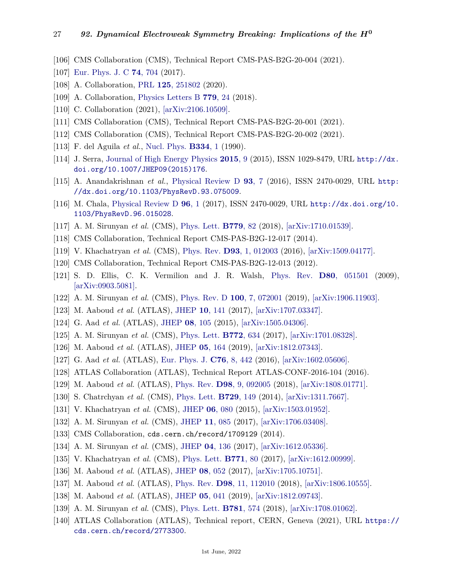- <span id="page-26-0"></span>[106] CMS Collaboration (CMS), Technical Report CMS-PAS-B2G-20-004 (2021).
- <span id="page-26-1"></span>[107] [Eur. Phys. J. C](http://doi.org/10.1140/epjc/s10052-017-5276-9) **74**[, 704](http://doi.org/10.1140/epjc/s10052-017-5276-9) (2017).
- <span id="page-26-2"></span>[108] A. Collaboration, [PRL](http://doi.org/10.1103/PhysRevLett.125.251802) **125**[, 251802](http://doi.org/10.1103/PhysRevLett.125.251802) (2020).
- <span id="page-26-3"></span>[109] A. Collaboration, [Physics Letters B](http://doi.org/10.1016/j.physletb.2018.01.042) **[779](http://doi.org/10.1016/j.physletb.2018.01.042)**, 24 (2018).
- <span id="page-26-4"></span>[110] C. Collaboration (2021), [\[arXiv:2106.10509\].](https://arxiv.org/abs/2106.10509)
- <span id="page-26-5"></span>[111] CMS Collaboration (CMS), Technical Report CMS-PAS-B2G-20-001 (2021).
- <span id="page-26-6"></span>[112] CMS Collaboration (CMS), Technical Report CMS-PAS-B2G-20-002 (2021).
- <span id="page-26-7"></span>[113] F. del Aguila *et al.*, [Nucl. Phys.](http://doi.org/10.1016/0550-3213(90)90655-W) **[B334](http://doi.org/10.1016/0550-3213(90)90655-W)**, 1 (1990).
- <span id="page-26-8"></span>[114] J. Serra, [Journal of High Energy Physics](http://doi.org/10.1007/jhep09(2015)176) **[2015](http://doi.org/10.1007/jhep09(2015)176)**, 9 (2015), ISSN 1029-8479, URL [http://dx.](http://dx.doi.org/10.1007/JHEP09(2015)176) [doi.org/10.1007/JHEP09\(2015\)176](http://dx.doi.org/10.1007/JHEP09(2015)176).
- [115] A. Anandakrishnan *et al.*, [Physical Review D](http://doi.org/10.1103/physrevd.93.075009) **93**[, 7](http://doi.org/10.1103/physrevd.93.075009) (2016), ISSN 2470-0029, URL [http:](http://dx.doi.org/10.1103/PhysRevD.93.075009) [//dx.doi.org/10.1103/PhysRevD.93.075009](http://dx.doi.org/10.1103/PhysRevD.93.075009).
- <span id="page-26-9"></span>[116] M. Chala, [Physical Review D](http://doi.org/10.1103/physrevd.96.015028) **[96](http://doi.org/10.1103/physrevd.96.015028)**, 1 (2017), ISSN 2470-0029, URL [http://dx.doi.org/10.](http://dx.doi.org/10.1103/PhysRevD.96.015028) [1103/PhysRevD.96.015028](http://dx.doi.org/10.1103/PhysRevD.96.015028).
- <span id="page-26-10"></span>[117] A. M. Sirunyan *et al.* (CMS), [Phys. Lett.](http://doi.org/10.1016/j.physletb.2018.01.077) **[B779](http://doi.org/10.1016/j.physletb.2018.01.077)**, 82 (2018), [\[arXiv:1710.01539\].](https://arxiv.org/abs/1710.01539)
- <span id="page-26-12"></span>[118] CMS Collaboration, Technical Report CMS-PAS-B2G-12-017 (2014).
- <span id="page-26-11"></span>[119] V. Khachatryan *et al.* (CMS), [Phys. Rev.](http://doi.org/10.1103/PhysRevD.93.012003) **D93**[, 1, 012003](http://doi.org/10.1103/PhysRevD.93.012003) (2016), [\[arXiv:1509.04177\].](https://arxiv.org/abs/1509.04177)
- <span id="page-26-13"></span>[120] CMS Collaboration, Technical Report CMS-PAS-B2G-12-013 (2012).
- <span id="page-26-14"></span>[121] S. D. Ellis, C. K. Vermilion and J. R. Walsh, [Phys. Rev.](http://doi.org/10.1103/PhysRevD.80.051501) **D80**[, 051501](http://doi.org/10.1103/PhysRevD.80.051501) (2009), [\[arXiv:0903.5081\].](https://arxiv.org/abs/0903.5081)
- <span id="page-26-15"></span>[122] A. M. Sirunyan *et al.* (CMS), [Phys. Rev. D](http://doi.org/10.1103/PhysRevD.100.072001) **100**[, 7, 072001](http://doi.org/10.1103/PhysRevD.100.072001) (2019), [\[arXiv:1906.11903\].](https://arxiv.org/abs/1906.11903)
- <span id="page-26-16"></span>[123] M. Aaboud *et al.* (ATLAS), [JHEP](http://doi.org/10.1007/JHEP10(2017)141) **10**[, 141](http://doi.org/10.1007/JHEP10(2017)141) (2017), [\[arXiv:1707.03347\].](https://arxiv.org/abs/1707.03347)
- <span id="page-26-17"></span>[124] G. Aad *et al.* (ATLAS), [JHEP](http://doi.org/10.1007/JHEP08(2015)105) **08**[, 105](http://doi.org/10.1007/JHEP08(2015)105) (2015), [\[arXiv:1505.04306\].](https://arxiv.org/abs/1505.04306)
- <span id="page-26-18"></span>[125] A. M. Sirunyan *et al.* (CMS), [Phys. Lett.](http://doi.org/10.1016/j.physletb.2017.07.022) **[B772](http://doi.org/10.1016/j.physletb.2017.07.022)**, 634 (2017), [\[arXiv:1701.08328\].](https://arxiv.org/abs/1701.08328)
- <span id="page-26-19"></span>[126] M. Aaboud *et al.* (ATLAS), [JHEP](http://doi.org/10.1007/JHEP05(2019)164) **05**[, 164](http://doi.org/10.1007/JHEP05(2019)164) (2019), [\[arXiv:1812.07343\].](https://arxiv.org/abs/1812.07343)
- <span id="page-26-20"></span>[127] G. Aad *et al.* (ATLAS), [Eur. Phys. J.](http://doi.org/10.1140/epjc/s10052-016-4281-8) **C76**[, 8, 442](http://doi.org/10.1140/epjc/s10052-016-4281-8) (2016), [\[arXiv:1602.05606\].](https://arxiv.org/abs/1602.05606)
- <span id="page-26-21"></span>[128] ATLAS Collaboration (ATLAS), Technical Report ATLAS-CONF-2016-104 (2016).
- <span id="page-26-22"></span>[129] M. Aaboud *et al.* (ATLAS), [Phys. Rev.](http://doi.org/10.1103/PhysRevD.98.092005) **D98**[, 9, 092005](http://doi.org/10.1103/PhysRevD.98.092005) (2018), [\[arXiv:1808.01771\].](https://arxiv.org/abs/1808.01771)
- <span id="page-26-23"></span>[130] S. Chatrchyan *et al.* (CMS), [Phys. Lett.](http://doi.org/10.1016/j.physletb.2014.01.006) **[B729](http://doi.org/10.1016/j.physletb.2014.01.006)**, 149 (2014), [\[arXiv:1311.7667\].](https://arxiv.org/abs/1311.7667)
- <span id="page-26-24"></span>[131] V. Khachatryan *et al.* (CMS), [JHEP](http://doi.org/10.1007/JHEP06(2015)080) **06**[, 080](http://doi.org/10.1007/JHEP06(2015)080) (2015), [\[arXiv:1503.01952\].](https://arxiv.org/abs/1503.01952)
- <span id="page-26-25"></span>[132] A. M. Sirunyan *et al.* (CMS), [JHEP](http://doi.org/10.1007/JHEP11(2017)085) **11**[, 085](http://doi.org/10.1007/JHEP11(2017)085) (2017), [\[arXiv:1706.03408\].](https://arxiv.org/abs/1706.03408)
- <span id="page-26-26"></span>[133] CMS Collaboration, cds.cern.ch/record/1709129 (2014).
- <span id="page-26-27"></span>[134] A. M. Sirunyan *et al.* (CMS), [JHEP](http://doi.org/10.1007/JHEP04(2017)136) **04**[, 136](http://doi.org/10.1007/JHEP04(2017)136) (2017), [\[arXiv:1612.05336\].](https://arxiv.org/abs/1612.05336)
- <span id="page-26-28"></span>[135] V. Khachatryan *et al.* (CMS), [Phys. Lett.](http://doi.org/10.1016/j.physletb.2017.05.019) **[B771](http://doi.org/10.1016/j.physletb.2017.05.019)**, 80 (2017), [\[arXiv:1612.00999\].](https://arxiv.org/abs/1612.00999)
- <span id="page-26-29"></span>[136] M. Aaboud *et al.* (ATLAS), [JHEP](http://doi.org/10.1007/JHEP08(2017)052) **08**[, 052](http://doi.org/10.1007/JHEP08(2017)052) (2017), [\[arXiv:1705.10751\].](https://arxiv.org/abs/1705.10751)
- <span id="page-26-30"></span>[137] M. Aaboud *et al.* (ATLAS), [Phys. Rev.](http://doi.org/10.1103/PhysRevD.98.112010) **D98**[, 11, 112010](http://doi.org/10.1103/PhysRevD.98.112010) (2018), [\[arXiv:1806.10555\].](https://arxiv.org/abs/1806.10555)
- <span id="page-26-31"></span>[138] M. Aaboud *et al.* (ATLAS), [JHEP](http://doi.org/10.1007/JHEP05(2019)041) **05**[, 041](http://doi.org/10.1007/JHEP05(2019)041) (2019), [\[arXiv:1812.09743\].](https://arxiv.org/abs/1812.09743)
- <span id="page-26-32"></span>[139] A. M. Sirunyan *et al.* (CMS), [Phys. Lett.](http://doi.org/10.1016/j.physletb.2018.04.036) **[B781](http://doi.org/10.1016/j.physletb.2018.04.036)**, 574 (2018), [\[arXiv:1708.01062\].](https://arxiv.org/abs/1708.01062)
- <span id="page-26-33"></span>[140] ATLAS Collaboration (ATLAS), Technical report, CERN, Geneva (2021), URL [https://](https://cds.cern.ch/record/2773300) [cds.cern.ch/record/2773300](https://cds.cern.ch/record/2773300).